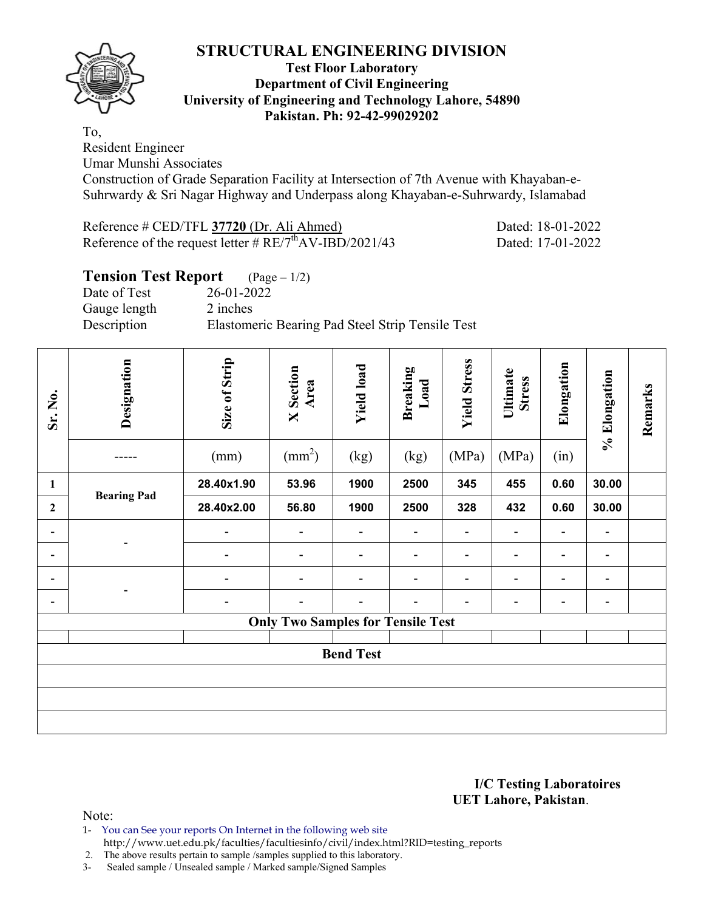

## **Test Floor Laboratory Department of Civil Engineering University of Engineering and Technology Lahore, 54890 Pakistan. Ph: 92-42-99029202**

To, Resident Engineer

Umar Munshi Associates

Construction of Grade Separation Facility at Intersection of 7th Avenue with Khayaban-e-Suhrwardy & Sri Nagar Highway and Underpass along Khayaban-e-Suhrwardy, Islamabad

| Reference # CED/TFL 37720 (Dr. Ali Ahmed)                            |  |  |
|----------------------------------------------------------------------|--|--|
| Reference of the request letter $\# RE/7^{\text{th}}$ AV-IBD/2021/43 |  |  |

Dated: 18-01-2022 Dated: 17-01-2022

## **Tension Test Report** (Page – 1/2) Date of Test 26-01-2022 Gauge length 2 inches Description Elastomeric Bearing Pad Steel Strip Tensile Test

| Sr. No.                  | Designation        | Size of Strip<br>(mm)    | <b>X</b> Section<br>Area<br>$\text{(mm}^2)$ | <b>Yield load</b><br>(kg) | <b>Breaking</b><br>Load<br>(kg) | <b>Yield Stress</b><br>(MPa) | Ultimate<br><b>Stress</b><br>(MPa) | Elongation<br>(in)       | % Elongation             | Remarks |
|--------------------------|--------------------|--------------------------|---------------------------------------------|---------------------------|---------------------------------|------------------------------|------------------------------------|--------------------------|--------------------------|---------|
| $\mathbf{1}$             |                    | 28.40x1.90               | 53.96                                       | 1900                      | 2500                            | 345                          | 455                                | 0.60                     | 30.00                    |         |
| $\mathbf{2}$             | <b>Bearing Pad</b> | 28.40x2.00               | 56.80                                       | 1900                      | 2500                            | 328                          | 432                                | 0.60                     | 30.00                    |         |
| Ξ.                       |                    | $\overline{\phantom{a}}$ | $\overline{\phantom{0}}$                    | $\overline{\phantom{a}}$  | $\overline{\phantom{0}}$        | $\overline{\phantom{0}}$     | $\blacksquare$                     | $\overline{\phantom{0}}$ | $\overline{\phantom{a}}$ |         |
| -                        |                    | $\overline{\phantom{a}}$ | $\overline{\phantom{0}}$                    | $\overline{\phantom{a}}$  | $\overline{\phantom{0}}$        | $\overline{a}$               | $\overline{\phantom{0}}$           | $\overline{\phantom{0}}$ | $\overline{\phantom{a}}$ |         |
| ۰                        |                    | $\overline{a}$           | $\blacksquare$                              | $\overline{\phantom{0}}$  | $\blacksquare$                  | $\overline{a}$               | $\qquad \qquad \blacksquare$       | $\overline{\phantom{0}}$ | $\overline{\phantom{a}}$ |         |
| $\overline{\phantom{0}}$ |                    | $\overline{\phantom{a}}$ | $\overline{a}$                              | $\overline{\phantom{0}}$  |                                 | $\overline{\phantom{0}}$     |                                    | -                        | $\overline{\phantom{a}}$ |         |
|                          |                    |                          | <b>Only Two Samples for Tensile Test</b>    |                           |                                 |                              |                                    |                          |                          |         |
|                          | <b>Bend Test</b>   |                          |                                             |                           |                                 |                              |                                    |                          |                          |         |
|                          |                    |                          |                                             |                           |                                 |                              |                                    |                          |                          |         |
|                          |                    |                          |                                             |                           |                                 |                              |                                    |                          |                          |         |
|                          |                    |                          |                                             |                           |                                 |                              |                                    |                          |                          |         |

### **I/C Testing Laboratoires UET Lahore, Pakistan**.

Note:

1- You can See your reports On Internet in the following web site

http://www.uet.edu.pk/faculties/facultiesinfo/civil/index.html?RID=testing\_reports

2. The above results pertain to sample /samples supplied to this laboratory.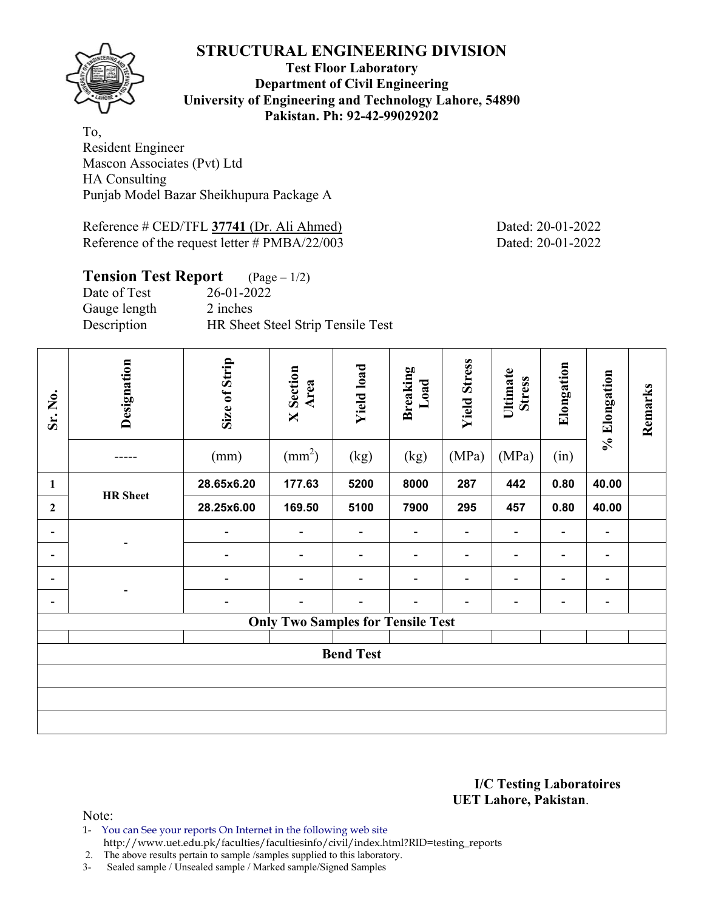

## **Test Floor Laboratory Department of Civil Engineering University of Engineering and Technology Lahore, 54890 Pakistan. Ph: 92-42-99029202**

To, Resident Engineer Mascon Associates (Pvt) Ltd HA Consulting Punjab Model Bazar Sheikhupura Package A

Reference # CED/TFL **37741** (Dr. Ali Ahmed) Dated: 20-01-2022 Reference of the request letter # PMBA/22/003 Dated: 20-01-2022

| <b>Tension Test Report</b> $(Page-1/2)$ |                                   |
|-----------------------------------------|-----------------------------------|
| Date of Test                            | 26-01-2022                        |
| Gauge length                            | 2 inches                          |
| Description                             | HR Sheet Steel Strip Tensile Test |

| Sr. No.                  | Designation     | Size of Strip<br>(mm)    | <b>X</b> Section<br>Area<br>$\text{(mm}^2)$ | <b>Yield load</b><br>(kg) | Breaking<br>Load<br>(kg) | <b>Yield Stress</b><br>(MPa) | Ultimate<br><b>Stress</b><br>(MPa) | Elongation<br>(in)       | % Elongation             | Remarks |
|--------------------------|-----------------|--------------------------|---------------------------------------------|---------------------------|--------------------------|------------------------------|------------------------------------|--------------------------|--------------------------|---------|
| 1                        |                 | 28.65x6.20               | 177.63                                      | 5200                      | 8000                     | 287                          | 442                                | 0.80                     | 40.00                    |         |
| $\overline{2}$           | <b>HR</b> Sheet | 28.25x6.00               | 169.50                                      | 5100                      | 7900                     | 295                          | 457                                | 0.80                     | 40.00                    |         |
| $\overline{\phantom{a}}$ |                 | $\overline{a}$           | $\blacksquare$                              | $\overline{\phantom{a}}$  | $\blacksquare$           | -                            |                                    | $\overline{\phantom{a}}$ | $\overline{\phantom{0}}$ |         |
| $\overline{\phantom{a}}$ |                 | $\overline{\phantom{0}}$ | $\overline{\phantom{a}}$                    | $\overline{\phantom{a}}$  | $\overline{\phantom{a}}$ | $\overline{\phantom{0}}$     | $\qquad \qquad \blacksquare$       | $\overline{\phantom{a}}$ | $\overline{\phantom{0}}$ |         |
| -                        |                 |                          | $\blacksquare$                              | $\blacksquare$            | $\overline{\phantom{0}}$ | -                            | $\overline{\phantom{0}}$           | $\overline{\phantom{0}}$ | $\overline{\phantom{0}}$ |         |
| $\overline{\phantom{a}}$ |                 |                          | $\overline{a}$                              |                           |                          |                              |                                    | $\overline{\phantom{0}}$ |                          |         |
|                          |                 |                          | <b>Only Two Samples for Tensile Test</b>    |                           |                          |                              |                                    |                          |                          |         |
|                          |                 |                          |                                             | <b>Bend Test</b>          |                          |                              |                                    |                          |                          |         |
|                          |                 |                          |                                             |                           |                          |                              |                                    |                          |                          |         |
|                          |                 |                          |                                             |                           |                          |                              |                                    |                          |                          |         |
|                          |                 |                          |                                             |                           |                          |                              |                                    |                          |                          |         |

#### **I/C Testing Laboratoires UET Lahore, Pakistan**.

Note:

1- You can See your reports On Internet in the following web site http://www.uet.edu.pk/faculties/facultiesinfo/civil/index.html?RID=testing\_reports

2. The above results pertain to sample /samples supplied to this laboratory.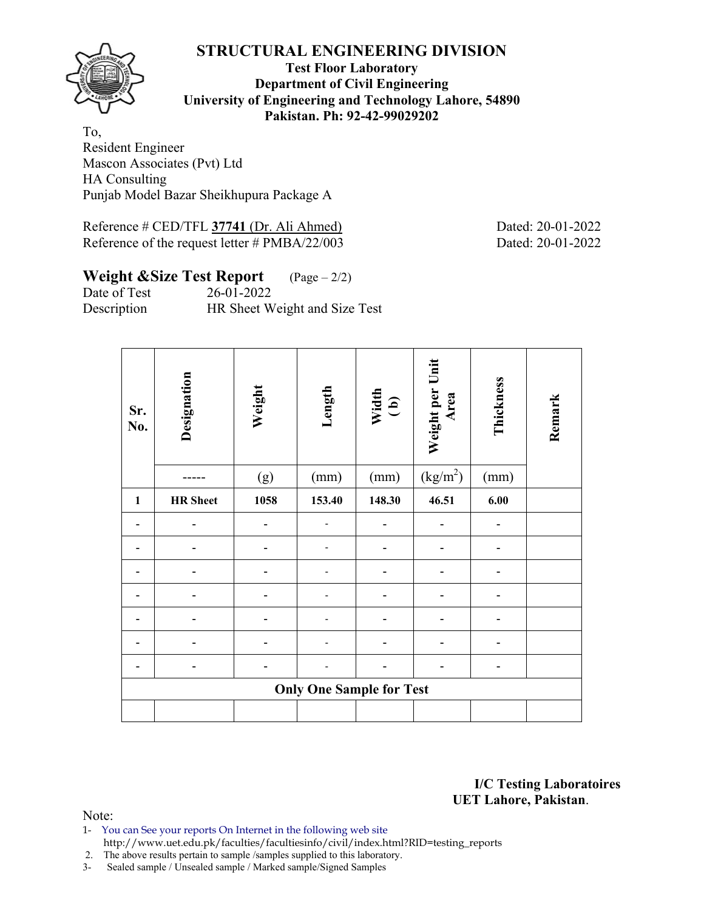

## **Test Floor Laboratory Department of Civil Engineering University of Engineering and Technology Lahore, 54890 Pakistan. Ph: 92-42-99029202**

To, Resident Engineer Mascon Associates (Pvt) Ltd HA Consulting Punjab Model Bazar Sheikhupura Package A

Reference # CED/TFL **37741** (Dr. Ali Ahmed) Dated: 20-01-2022 Reference of the request letter # PMBA/22/003 Dated: 20-01-2022

# **Weight &Size Test Report** (Page – 2/2)

Date of Test 26-01-2022 Description HR Sheet Weight and Size Test

| Sr.<br>No.   | Designation     | Weight | Length                          | Width<br>(b) | Weight per Unit<br>Area | Thickness | Remark |
|--------------|-----------------|--------|---------------------------------|--------------|-------------------------|-----------|--------|
|              |                 | (g)    | (mm)                            | (mm)         | (kg/m <sup>2</sup> )    | (mm)      |        |
| $\mathbf{1}$ | <b>HR</b> Sheet | 1058   | 153.40                          | 148.30       | 46.51                   | 6.00      |        |
|              |                 |        |                                 |              |                         |           |        |
|              |                 |        |                                 |              |                         |           |        |
|              |                 |        |                                 |              |                         |           |        |
|              |                 |        |                                 |              |                         |           |        |
|              |                 |        |                                 |              |                         |           |        |
|              |                 |        |                                 |              |                         |           |        |
|              |                 |        |                                 |              |                         |           |        |
|              |                 |        | <b>Only One Sample for Test</b> |              |                         |           |        |
|              |                 |        |                                 |              |                         |           |        |

**I/C Testing Laboratoires UET Lahore, Pakistan**.

- 1- You can See your reports On Internet in the following web site http://www.uet.edu.pk/faculties/facultiesinfo/civil/index.html?RID=testing\_reports
- 2. The above results pertain to sample /samples supplied to this laboratory.
- 3- Sealed sample / Unsealed sample / Marked sample/Signed Samples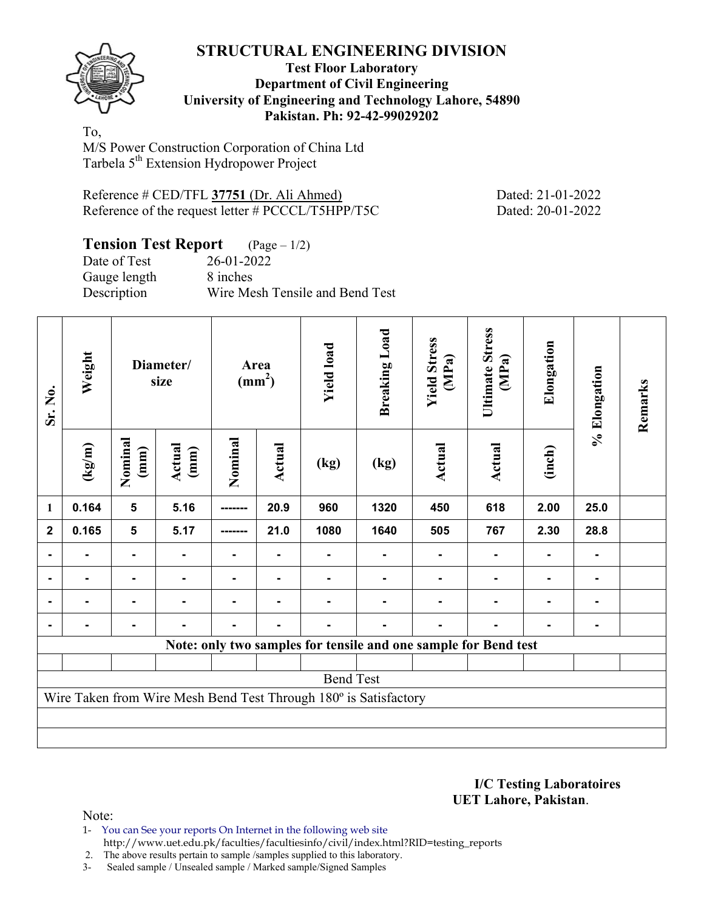

## **Test Floor Laboratory Department of Civil Engineering University of Engineering and Technology Lahore, 54890 Pakistan. Ph: 92-42-99029202**

To, M/S Power Construction Corporation of China Ltd Tarbela 5<sup>th</sup> Extension Hydropower Project

| Reference # CED/TFL 37751 (Dr. Ali Ahmed)         |
|---------------------------------------------------|
| Reference of the request letter # PCCCL/T5HPP/T5C |

Dated: 21-01-2022 Dated: 20-01-2022

## **Tension Test Report** (Page – 1/2) Date of Test 26-01-2022 Gauge length 8 inches Description Wire Mesh Tensile and Bend Test

| Sr. No.        | Weight          |                         | Diameter/<br>size |                | Area<br>$\text{(mm}^2)$ | <b>Yield load</b> | <b>Breaking Load</b>                                             | <b>Yield Stress</b><br>(MPa) | <b>Ultimate Stress</b><br>(MPa) | Elongation | % Elongation | Remarks |
|----------------|-----------------|-------------------------|-------------------|----------------|-------------------------|-------------------|------------------------------------------------------------------|------------------------------|---------------------------------|------------|--------------|---------|
|                | $(\text{kg/m})$ | Nominal<br>(mm)         | Actual<br>(mm)    | Nominal        | Actual                  | (kg)              | (kg)                                                             | Actual                       | Actual                          | (inch)     |              |         |
| 1              | 0.164           | $\overline{\mathbf{5}}$ | 5.16              | --------       | 20.9                    | 960               | 1320                                                             | 450                          | 618                             | 2.00       | 25.0         |         |
| $\overline{2}$ | 0.165           | $5\phantom{1}$          | 5.17              |                | 21.0                    | 1080              | 1640                                                             | 505                          | 767                             | 2.30       | 28.8         |         |
|                |                 |                         |                   |                |                         |                   |                                                                  |                              |                                 |            |              |         |
|                |                 |                         |                   |                |                         |                   |                                                                  |                              |                                 |            |              |         |
|                |                 |                         |                   | $\blacksquare$ |                         |                   |                                                                  |                              |                                 |            |              |         |
|                |                 |                         |                   |                |                         |                   |                                                                  |                              |                                 |            |              |         |
|                |                 |                         |                   |                |                         |                   | Note: only two samples for tensile and one sample for Bend test  |                              |                                 |            |              |         |
|                |                 |                         |                   |                |                         |                   |                                                                  |                              |                                 |            |              |         |
|                |                 |                         |                   |                |                         | <b>Bend Test</b>  |                                                                  |                              |                                 |            |              |         |
|                |                 |                         |                   |                |                         |                   | Wire Taken from Wire Mesh Bend Test Through 180° is Satisfactory |                              |                                 |            |              |         |
|                |                 |                         |                   |                |                         |                   |                                                                  |                              |                                 |            |              |         |
|                |                 |                         |                   |                |                         |                   |                                                                  |                              |                                 |            |              |         |

**I/C Testing Laboratoires UET Lahore, Pakistan**.

- 1- You can See your reports On Internet in the following web site http://www.uet.edu.pk/faculties/facultiesinfo/civil/index.html?RID=testing\_reports
- 2. The above results pertain to sample /samples supplied to this laboratory.
- 3- Sealed sample / Unsealed sample / Marked sample/Signed Samples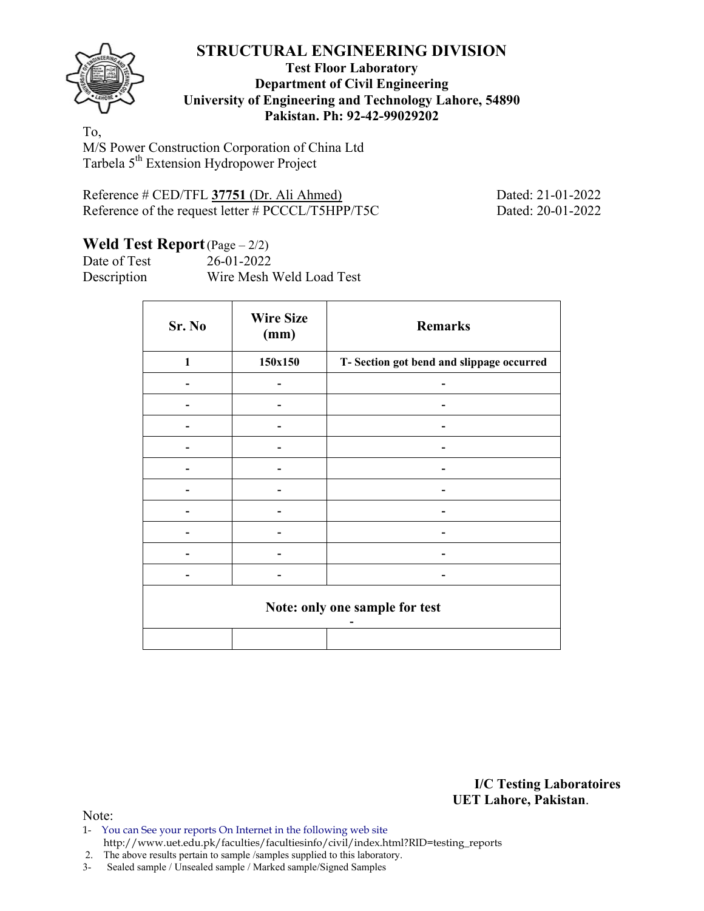

## **Test Floor Laboratory Department of Civil Engineering University of Engineering and Technology Lahore, 54890 Pakistan. Ph: 92-42-99029202**

To, M/S Power Construction Corporation of China Ltd Tarbela 5<sup>th</sup> Extension Hydropower Project

| Reference # CED/TFL 37751 (Dr. Ali Ahmed)         |  |  |
|---------------------------------------------------|--|--|
| Reference of the request letter # PCCCL/T5HPP/T5C |  |  |

Dated: 21-01-2022 Dated: 20-01-2022

# Weld Test Report (Page – 2/2)

Date of Test 26-01-2022 Description Wire Mesh Weld Load Test

| Sr. No                         | <b>Wire Size</b><br>(mm) | <b>Remarks</b>                            |  |  |  |  |  |  |
|--------------------------------|--------------------------|-------------------------------------------|--|--|--|--|--|--|
| 1                              | 150x150                  | T- Section got bend and slippage occurred |  |  |  |  |  |  |
|                                |                          |                                           |  |  |  |  |  |  |
|                                |                          |                                           |  |  |  |  |  |  |
|                                |                          |                                           |  |  |  |  |  |  |
|                                |                          |                                           |  |  |  |  |  |  |
|                                |                          |                                           |  |  |  |  |  |  |
|                                |                          |                                           |  |  |  |  |  |  |
|                                |                          |                                           |  |  |  |  |  |  |
|                                |                          |                                           |  |  |  |  |  |  |
|                                |                          |                                           |  |  |  |  |  |  |
|                                |                          | -                                         |  |  |  |  |  |  |
| Note: only one sample for test |                          |                                           |  |  |  |  |  |  |
|                                |                          |                                           |  |  |  |  |  |  |

**I/C Testing Laboratoires UET Lahore, Pakistan**.

Note:

1- You can See your reports On Internet in the following web site http://www.uet.edu.pk/faculties/facultiesinfo/civil/index.html?RID=testing\_reports

2. The above results pertain to sample /samples supplied to this laboratory.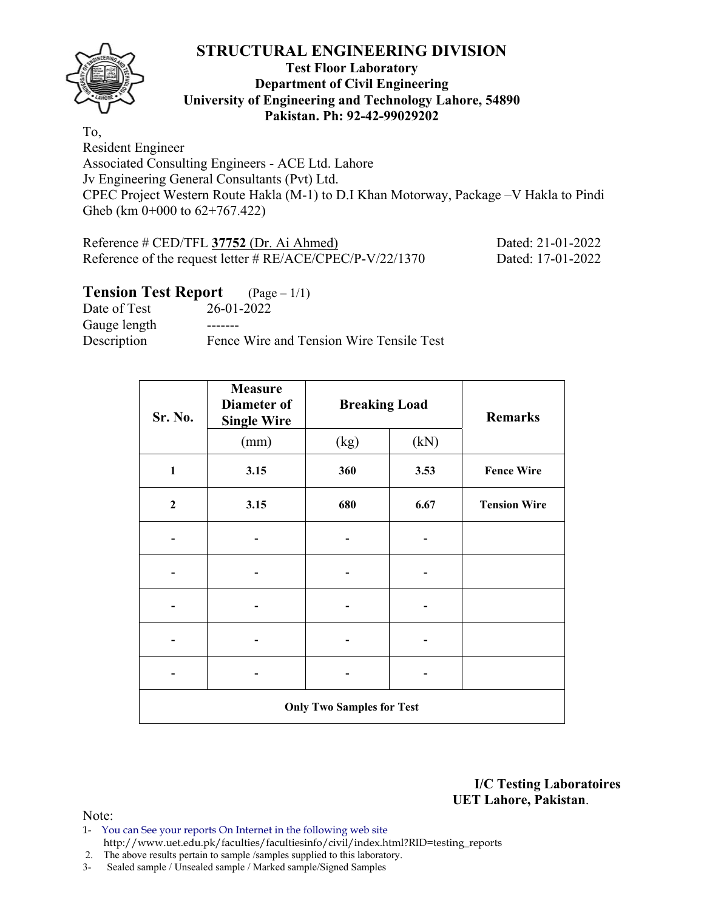

## **Test Floor Laboratory Department of Civil Engineering University of Engineering and Technology Lahore, 54890 Pakistan. Ph: 92-42-99029202**

To, Resident Engineer Associated Consulting Engineers - ACE Ltd. Lahore Jv Engineering General Consultants (Pvt) Ltd. CPEC Project Western Route Hakla (M-1) to D.I Khan Motorway, Package –V Hakla to Pindi Gheb (km 0+000 to 62+767.422)

| Reference # CED/TFL 37752 (Dr. Ai Ahmed)                     | Dated: 21-01-2022 |
|--------------------------------------------------------------|-------------------|
| Reference of the request letter # $RE/ACE/CPE C/P-V/22/1370$ | Dated: 17-01-2022 |

# **Tension Test Report** (Page – 1/1)

Date of Test 26-01-2022 Gauge length -------Description Fence Wire and Tension Wire Tensile Test

| Sr. No.        | <b>Measure</b><br>Diameter of<br><b>Single Wire</b> | <b>Breaking Load</b> | <b>Remarks</b> |                     |  |  |  |  |  |  |
|----------------|-----------------------------------------------------|----------------------|----------------|---------------------|--|--|--|--|--|--|
|                | (mm)                                                | (kg)                 | (kN)           |                     |  |  |  |  |  |  |
| $\mathbf{1}$   | 3.15                                                | 360                  | 3.53           | <b>Fence Wire</b>   |  |  |  |  |  |  |
| $\overline{2}$ | 3.15                                                | 680                  | 6.67           | <b>Tension Wire</b> |  |  |  |  |  |  |
|                |                                                     |                      |                |                     |  |  |  |  |  |  |
|                |                                                     |                      |                |                     |  |  |  |  |  |  |
|                |                                                     |                      |                |                     |  |  |  |  |  |  |
|                |                                                     |                      |                |                     |  |  |  |  |  |  |
|                |                                                     |                      |                |                     |  |  |  |  |  |  |
|                | <b>Only Two Samples for Test</b>                    |                      |                |                     |  |  |  |  |  |  |

**I/C Testing Laboratoires UET Lahore, Pakistan**.

- 1- You can See your reports On Internet in the following web site http://www.uet.edu.pk/faculties/facultiesinfo/civil/index.html?RID=testing\_reports
- 2. The above results pertain to sample /samples supplied to this laboratory.
- 3- Sealed sample / Unsealed sample / Marked sample/Signed Samples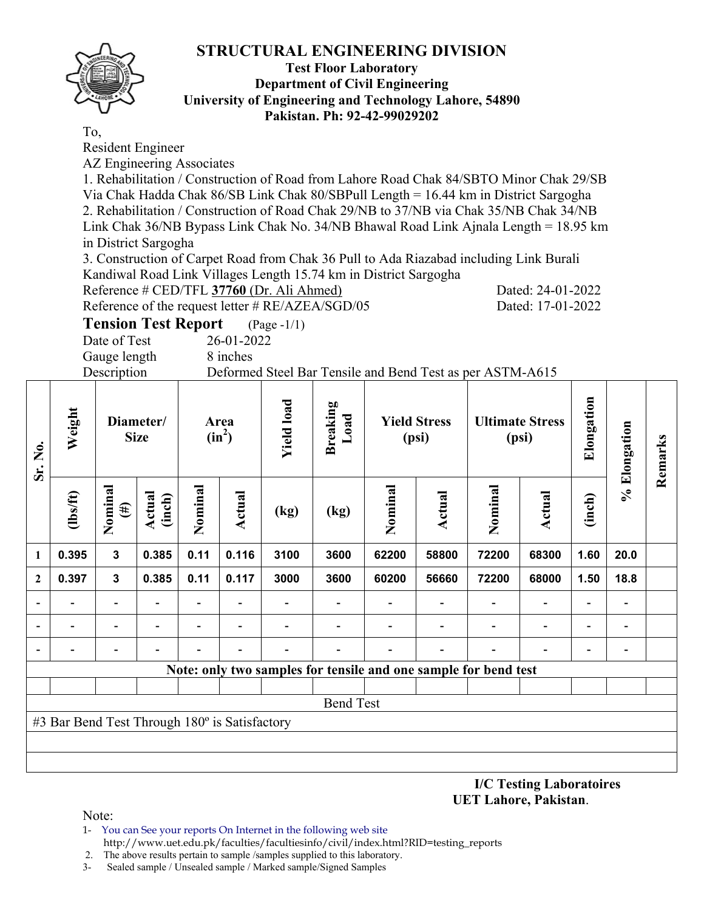

## **Test Floor Laboratory Department of Civil Engineering University of Engineering and Technology Lahore, 54890 Pakistan. Ph: 92-42-99029202**

To,

Resident Engineer

AZ Engineering Associates

1. Rehabilitation / Construction of Road from Lahore Road Chak 84/SBTO Minor Chak 29/SB Via Chak Hadda Chak 86/SB Link Chak 80/SBPull Length = 16.44 km in District Sargogha 2. Rehabilitation / Construction of Road Chak 29/NB to 37/NB via Chak 35/NB Chak 34/NB Link Chak 36/NB Bypass Link Chak No. 34/NB Bhawal Road Link Ajnala Length = 18.95 km in District Sargogha

3. Construction of Carpet Road from Chak 36 Pull to Ada Riazabad including Link Burali Kandiwal Road Link Villages Length 15.74 km in District Sargogha

Reference # CED/TFL **37760** (Dr. Ali Ahmed) Dated: 24-01-2022

Reference of the request letter # RE/AZEA/SGD/05 Dated: 17-01-2022

**Tension Test Report** (Page -1/1)

Date of Test 26-01-2022 Gauge length 8 inches

Description Deformed Steel Bar Tensile and Bend Test as per ASTM-A615

| Sr. No.          | Weight                                        |                          | Diameter/<br><b>Size</b> |         | Area<br>$(in^2)$         | <b>Yield load</b> | <b>Breaking</b><br>Load                                         | <b>Yield Stress</b><br>(psi) |        | <b>Ultimate Stress</b><br>(psi) |                          |                          |                          | Elongation | % Elongation | Remarks |
|------------------|-----------------------------------------------|--------------------------|--------------------------|---------|--------------------------|-------------------|-----------------------------------------------------------------|------------------------------|--------|---------------------------------|--------------------------|--------------------------|--------------------------|------------|--------------|---------|
|                  | (lbs/ft)                                      | Nominal<br>$(\#)$        | Actual<br>(inch)         | Nominal | Actual                   | (kg)              | (kg)                                                            | Nominal                      | Actual | Nominal                         | Actual                   | (inch)                   |                          |            |              |         |
| 1                | 0.395                                         | $\mathbf{3}$             | 0.385                    | 0.11    | 0.116                    | 3100              | 3600                                                            | 62200                        | 58800  | 72200                           | 68300                    | 1.60                     | 20.0                     |            |              |         |
| $\boldsymbol{2}$ | 0.397                                         | $\mathbf{3}$             | 0.385                    | 0.11    | 0.117                    | 3000              | 3600                                                            | 60200                        | 56660  | 72200                           | 68000                    | 1.50                     | 18.8                     |            |              |         |
|                  |                                               | $\overline{\phantom{0}}$ |                          |         |                          |                   |                                                                 |                              |        | $\overline{\phantom{0}}$        | $\overline{\phantom{a}}$ | $\overline{\phantom{a}}$ |                          |            |              |         |
|                  |                                               |                          |                          |         |                          |                   |                                                                 |                              |        |                                 |                          | $\overline{\phantom{0}}$ |                          |            |              |         |
|                  |                                               | -                        |                          |         | $\overline{\phantom{0}}$ |                   |                                                                 |                              | ٠      | $\qquad \qquad \blacksquare$    | $\overline{\phantom{a}}$ | $\overline{\phantom{a}}$ | $\overline{\phantom{0}}$ |            |              |         |
|                  |                                               |                          |                          |         |                          |                   | Note: only two samples for tensile and one sample for bend test |                              |        |                                 |                          |                          |                          |            |              |         |
|                  |                                               |                          |                          |         |                          |                   |                                                                 |                              |        |                                 |                          |                          |                          |            |              |         |
|                  |                                               |                          |                          |         |                          |                   | <b>Bend Test</b>                                                |                              |        |                                 |                          |                          |                          |            |              |         |
|                  | #3 Bar Bend Test Through 180° is Satisfactory |                          |                          |         |                          |                   |                                                                 |                              |        |                                 |                          |                          |                          |            |              |         |
|                  |                                               |                          |                          |         |                          |                   |                                                                 |                              |        |                                 |                          |                          |                          |            |              |         |
|                  |                                               |                          |                          |         |                          |                   |                                                                 |                              |        |                                 |                          |                          |                          |            |              |         |

**I/C Testing Laboratoires UET Lahore, Pakistan**.

Note:

1- You can See your reports On Internet in the following web site

http://www.uet.edu.pk/faculties/facultiesinfo/civil/index.html?RID=testing\_reports

 2. The above results pertain to sample /samples supplied to this laboratory. 3- Sealed sample / Unsealed sample / Marked sample/Signed Samples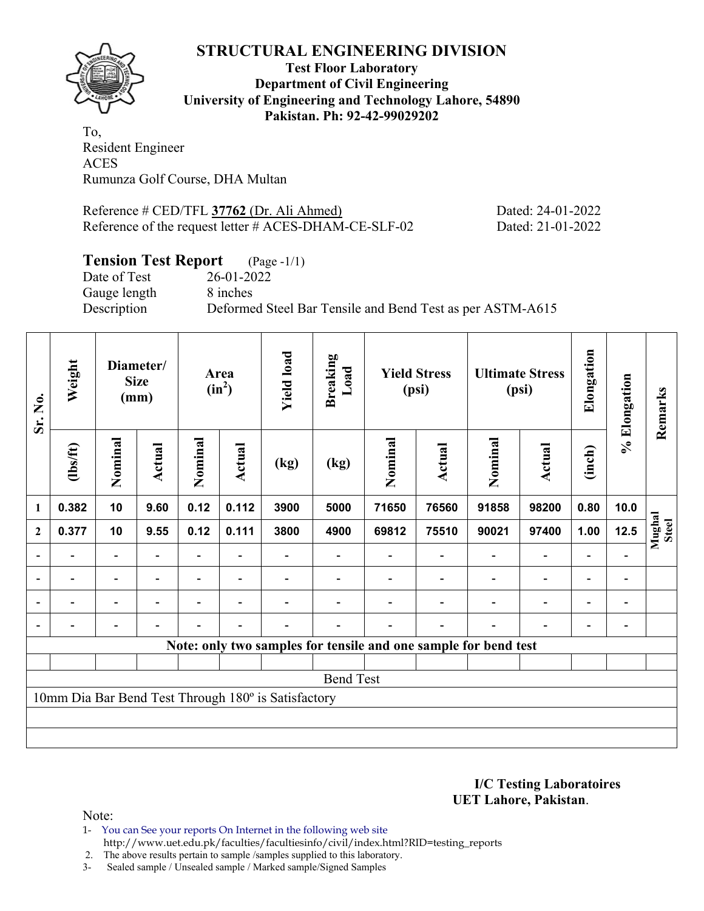

**Test Floor Laboratory Department of Civil Engineering University of Engineering and Technology Lahore, 54890 Pakistan. Ph: 92-42-99029202** 

To, Resident Engineer ACES Rumunza Golf Course, DHA Multan

Reference # CED/TFL **37762** (Dr. Ali Ahmed) Dated: 24-01-2022 Reference of the request letter # ACES-DHAM-CE-SLF-02 Dated: 21-01-2022

# **Tension Test Report** (Page -1/1)

Date of Test 26-01-2022 Gauge length 8 inches

Description Deformed Steel Bar Tensile and Bend Test as per ASTM-A615

| Sr. No.                  | Weight         |                          | Diameter/<br><b>Size</b><br>(mm) | Area<br>$(in^2)$ |                          | <b>Yield load</b><br><b>Breaking</b><br>Load<br><b>Yield Stress</b><br>(psi) |                  |         | <b>Ultimate Stress</b><br>(psi)                                 | Elongation     | % Elongation                 | Remarks                  |                          |                 |
|--------------------------|----------------|--------------------------|----------------------------------|------------------|--------------------------|------------------------------------------------------------------------------|------------------|---------|-----------------------------------------------------------------|----------------|------------------------------|--------------------------|--------------------------|-----------------|
|                          | $\frac{2}{10}$ | Nominal                  | Actual                           | Nominal          | <b>Actual</b>            | (kg)                                                                         | (kg)             | Nominal | Actual                                                          | Nominal        | <b>Actual</b>                | (inch)                   |                          |                 |
| $\mathbf{1}$             | 0.382          | 10                       | 9.60                             | 0.12             | 0.112                    | 3900                                                                         | 5000             | 71650   | 76560                                                           | 91858          | 98200                        | 0.80                     | 10.0                     |                 |
| $\mathbf{2}$             | 0.377          | 10                       | 9.55                             | 0.12             | 0.111                    | 3800                                                                         | 4900             | 69812   | 75510                                                           | 90021          | 97400                        | 1.00                     | 12.5                     | Mughal<br>Steel |
| $\overline{\phantom{a}}$ |                |                          |                                  |                  |                          |                                                                              |                  |         |                                                                 |                |                              | $\blacksquare$           |                          |                 |
| $\blacksquare$           | $\blacksquare$ | $\overline{\phantom{a}}$ | $\blacksquare$                   |                  | $\blacksquare$           |                                                                              |                  |         | $\blacksquare$                                                  | $\blacksquare$ | $\overline{\phantom{a}}$     | $\overline{\phantom{a}}$ | $\overline{\phantom{a}}$ |                 |
| $\blacksquare$           |                | $\overline{\phantom{0}}$ |                                  |                  |                          |                                                                              |                  |         |                                                                 |                | $\overline{\phantom{a}}$     | $\overline{\phantom{0}}$ | $\blacksquare$           |                 |
|                          |                |                          | $\overline{\phantom{0}}$         |                  | $\overline{\phantom{0}}$ |                                                                              |                  |         | $\overline{\phantom{0}}$                                        |                | $\qquad \qquad \blacksquare$ | $\overline{\phantom{a}}$ | $\blacksquare$           |                 |
|                          |                |                          |                                  |                  |                          |                                                                              |                  |         | Note: only two samples for tensile and one sample for bend test |                |                              |                          |                          |                 |
|                          |                |                          |                                  |                  |                          |                                                                              |                  |         |                                                                 |                |                              |                          |                          |                 |
|                          |                |                          |                                  |                  |                          |                                                                              | <b>Bend Test</b> |         |                                                                 |                |                              |                          |                          |                 |
|                          |                |                          |                                  |                  |                          | 10mm Dia Bar Bend Test Through 180° is Satisfactory                          |                  |         |                                                                 |                |                              |                          |                          |                 |
|                          |                |                          |                                  |                  |                          |                                                                              |                  |         |                                                                 |                |                              |                          |                          |                 |
|                          |                |                          |                                  |                  |                          |                                                                              |                  |         |                                                                 |                |                              |                          |                          |                 |

**I/C Testing Laboratoires UET Lahore, Pakistan**.

- 1- You can See your reports On Internet in the following web site http://www.uet.edu.pk/faculties/facultiesinfo/civil/index.html?RID=testing\_reports
- 2. The above results pertain to sample /samples supplied to this laboratory.
- 3- Sealed sample / Unsealed sample / Marked sample/Signed Samples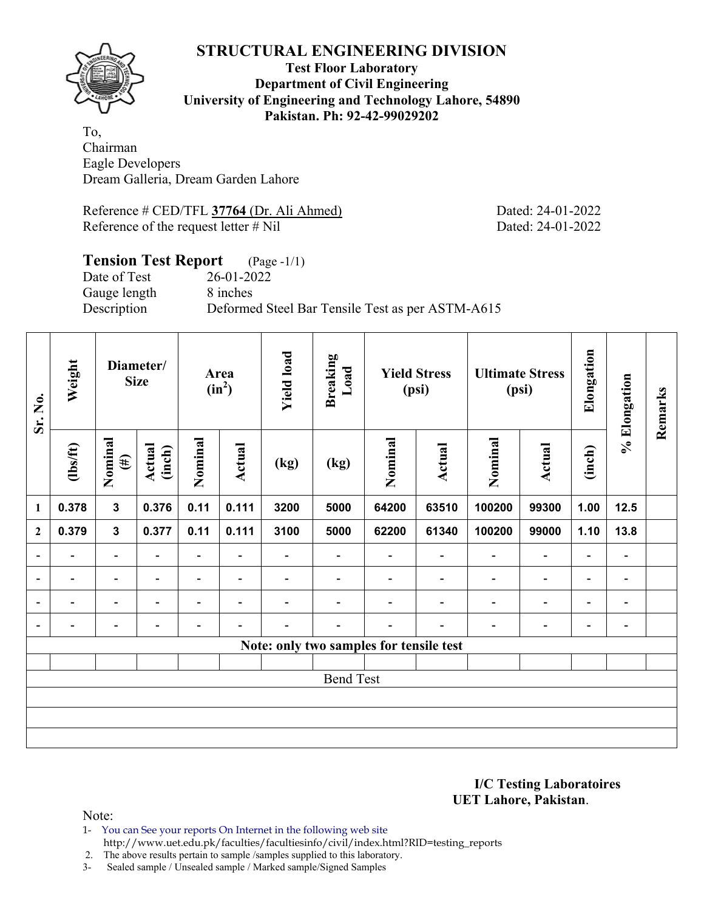

## **Test Floor Laboratory Department of Civil Engineering University of Engineering and Technology Lahore, 54890 Pakistan. Ph: 92-42-99029202**

To, Chairman Eagle Developers Dream Galleria, Dream Garden Lahore

Reference # CED/TFL **37764** (Dr. Ali Ahmed) Dated: 24-01-2022 Reference of the request letter # Nil Dated: 24-01-2022

### **Tension Test Report** (Page -1/1) Date of Test 26-01-2022

Gauge length 8 inches

Description Deformed Steel Bar Tensile Test as per ASTM-A615

| Sr. No.                  | Weight                   |                          | Diameter/<br><b>Size</b> |                          | Area<br>$(in^2)$         | <b>Yield load</b>        | <b>Breaking</b><br>Load                 |                          | <b>Yield Stress</b><br>(psi) | <b>Ultimate Stress</b><br>(psi) |                          | Elongation               | % Elongation                 | Remarks |
|--------------------------|--------------------------|--------------------------|--------------------------|--------------------------|--------------------------|--------------------------|-----------------------------------------|--------------------------|------------------------------|---------------------------------|--------------------------|--------------------------|------------------------------|---------|
|                          | $\frac{2}{10}$           | Nominal<br>$(\#)$        | Actual<br>(inch)         | Nominal                  | Actual                   | (kg)                     | (kg)                                    | Nominal                  | Actual                       | Nominal                         | Actual                   | (inch)                   |                              |         |
| $\mathbf{1}$             | 0.378                    | $\mathbf{3}$             | 0.376                    | 0.11                     | 0.111                    | 3200                     | 5000                                    | 64200                    | 63510                        | 100200                          | 99300                    | 1.00                     | 12.5                         |         |
| $\mathbf{2}$             | 0.379                    | $\overline{\mathbf{3}}$  | 0.377                    | 0.11                     | 0.111                    | 3100                     | 5000                                    | 62200                    | 61340                        | 100200                          | 99000                    | 1.10                     | 13.8                         |         |
| $\overline{a}$           | $\overline{\phantom{0}}$ | $\blacksquare$           | $\blacksquare$           | $\blacksquare$           | $\overline{\phantom{a}}$ | $\overline{\phantom{0}}$ | $\overline{\phantom{0}}$                | $\overline{\phantom{a}}$ | $\overline{\phantom{0}}$     | $\blacksquare$                  | $\overline{\phantom{a}}$ | $\overline{\phantom{a}}$ | $\overline{\phantom{a}}$     |         |
| $\overline{a}$           | -                        | $\overline{\phantom{0}}$ | $\overline{\phantom{0}}$ | -                        | $\blacksquare$           |                          |                                         |                          | $\overline{\phantom{0}}$     | $\overline{\phantom{a}}$        | $\overline{a}$           | -                        | $\qquad \qquad \blacksquare$ |         |
| $\overline{\phantom{a}}$ | -                        | $\overline{\phantom{0}}$ |                          | $\overline{\phantom{0}}$ | $\blacksquare$           | $\blacksquare$           |                                         |                          | ۰                            | $\overline{\phantom{0}}$        | $\overline{a}$           | $\overline{\phantom{a}}$ | $\overline{\phantom{0}}$     |         |
| $\blacksquare$           |                          | -                        |                          |                          |                          |                          |                                         | $\overline{\phantom{0}}$ |                              |                                 | -                        | -                        | $\qquad \qquad \blacksquare$ |         |
|                          |                          |                          |                          |                          |                          |                          | Note: only two samples for tensile test |                          |                              |                                 |                          |                          |                              |         |
|                          |                          |                          |                          |                          |                          |                          |                                         |                          |                              |                                 |                          |                          |                              |         |
|                          |                          |                          |                          |                          |                          |                          | <b>Bend Test</b>                        |                          |                              |                                 |                          |                          |                              |         |
|                          |                          |                          |                          |                          |                          |                          |                                         |                          |                              |                                 |                          |                          |                              |         |
|                          |                          |                          |                          |                          |                          |                          |                                         |                          |                              |                                 |                          |                          |                              |         |
|                          |                          |                          |                          |                          |                          |                          |                                         |                          |                              |                                 |                          |                          |                              |         |

**I/C Testing Laboratoires UET Lahore, Pakistan**.

Note:

1- You can See your reports On Internet in the following web site http://www.uet.edu.pk/faculties/facultiesinfo/civil/index.html?RID=testing\_reports

2. The above results pertain to sample /samples supplied to this laboratory.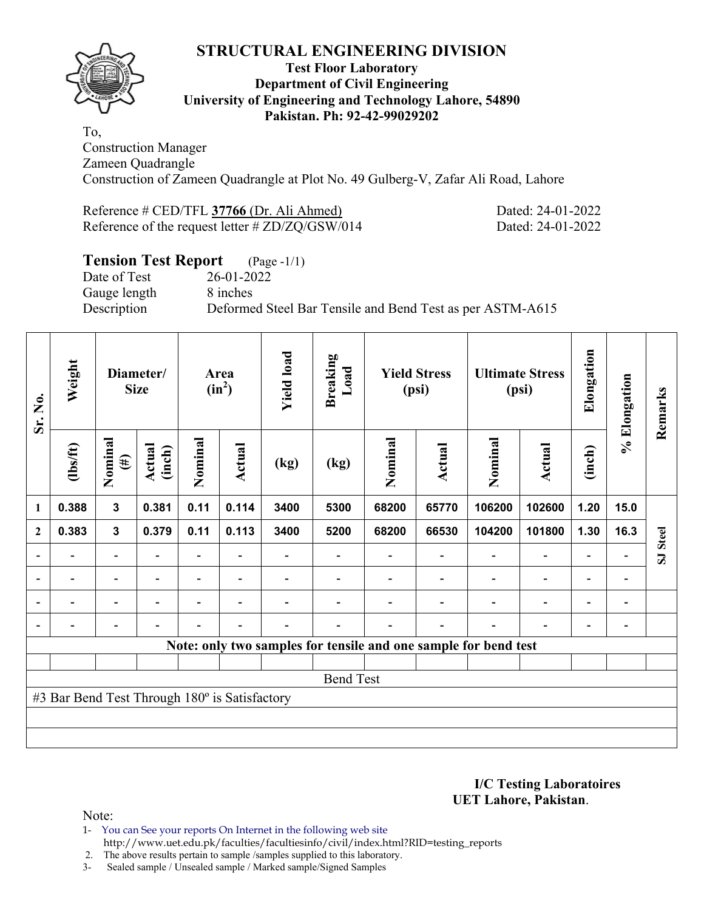

## **Test Floor Laboratory Department of Civil Engineering University of Engineering and Technology Lahore, 54890 Pakistan. Ph: 92-42-99029202**

To, Construction Manager Zameen Quadrangle Construction of Zameen Quadrangle at Plot No. 49 Gulberg-V, Zafar Ali Road, Lahore

Reference # CED/TFL **37766** (Dr. Ali Ahmed) Dated: 24-01-2022 Reference of the request letter # ZD/ZQ/GSW/014 Dated: 24-01-2022

# **Tension Test Report** (Page -1/1)

Date of Test 26-01-2022 Gauge length 8 inches

Description Deformed Steel Bar Tensile and Bend Test as per ASTM-A615

| Sr. No.        | Weight                                        |                          | Diameter/<br><b>Size</b> |                                                        | Area<br>$(in^2)$ | <b>Yield load</b> | <b>Breaking</b><br>Load |        | <b>Yield Stress</b><br>(psi) |                                                                 | <b>Ultimate Stress</b><br>(psi) | Elongation               | % Elongation                 | Remarks  |
|----------------|-----------------------------------------------|--------------------------|--------------------------|--------------------------------------------------------|------------------|-------------------|-------------------------|--------|------------------------------|-----------------------------------------------------------------|---------------------------------|--------------------------|------------------------------|----------|
|                | $lbsft$                                       | Nominal<br>$(\#)$        | Actual<br>(inch)         | Nominal<br>Nominal<br>Actual<br>Actual<br>(kg)<br>(kg) |                  | Nominal           | <b>Actual</b>           | (inch) |                              |                                                                 |                                 |                          |                              |          |
| 1              | 0.388                                         | $\mathbf{3}$             | 0.381                    | 0.11                                                   | 0.114            | 3400              | 5300                    | 68200  | 65770                        | 106200                                                          | 102600                          | 1.20                     | 15.0                         |          |
| $\mathbf{2}$   | 0.383                                         | $\mathbf 3$              | 0.379                    | 0.11                                                   | 0.113            | 3400              | 5200                    | 68200  | 66530                        | 104200                                                          | 101800                          | 1.30                     | 16.3                         |          |
|                |                                               | $\overline{\phantom{0}}$ |                          |                                                        |                  |                   |                         |        |                              |                                                                 |                                 | $\overline{\phantom{0}}$ |                              | SJ Steel |
| $\overline{a}$ | $\overline{\phantom{0}}$                      | $\blacksquare$           | $\overline{\phantom{a}}$ |                                                        | $\blacksquare$   |                   |                         |        |                              | $\overline{\phantom{a}}$                                        | $\overline{\phantom{a}}$        | $\overline{\phantom{a}}$ | $\overline{\phantom{a}}$     |          |
| $\overline{a}$ |                                               | $\overline{\phantom{0}}$ |                          |                                                        | $\blacksquare$   |                   |                         |        |                              | ٠                                                               | $\overline{a}$                  | $\overline{\phantom{0}}$ | $\qquad \qquad \blacksquare$ |          |
| $\overline{a}$ | $\blacksquare$                                | -                        | $\overline{\phantom{0}}$ | $\blacksquare$                                         | $\blacksquare$   | $\blacksquare$    |                         |        | $\blacksquare$               | ÷                                                               | $\overline{a}$                  | $\overline{\phantom{a}}$ | $\qquad \qquad \blacksquare$ |          |
|                |                                               |                          |                          |                                                        |                  |                   |                         |        |                              | Note: only two samples for tensile and one sample for bend test |                                 |                          |                              |          |
|                |                                               |                          |                          |                                                        |                  |                   |                         |        |                              |                                                                 |                                 |                          |                              |          |
|                |                                               |                          |                          |                                                        |                  |                   | <b>Bend Test</b>        |        |                              |                                                                 |                                 |                          |                              |          |
|                | #3 Bar Bend Test Through 180° is Satisfactory |                          |                          |                                                        |                  |                   |                         |        |                              |                                                                 |                                 |                          |                              |          |
|                |                                               |                          |                          |                                                        |                  |                   |                         |        |                              |                                                                 |                                 |                          |                              |          |
|                |                                               |                          |                          |                                                        |                  |                   |                         |        |                              |                                                                 |                                 |                          |                              |          |

**I/C Testing Laboratoires UET Lahore, Pakistan**.

Note:

1- You can See your reports On Internet in the following web site http://www.uet.edu.pk/faculties/facultiesinfo/civil/index.html?RID=testing\_reports

2. The above results pertain to sample /samples supplied to this laboratory.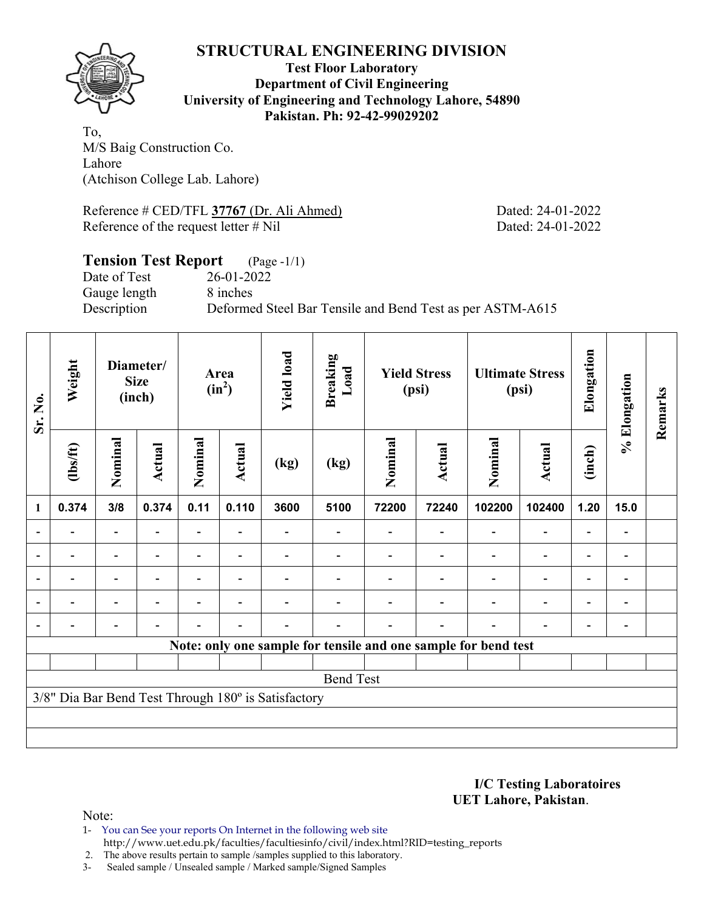

**Test Floor Laboratory Department of Civil Engineering University of Engineering and Technology Lahore, 54890 Pakistan. Ph: 92-42-99029202** 

To, M/S Baig Construction Co. Lahore (Atchison College Lab. Lahore)

Reference # CED/TFL **37767** (Dr. Ali Ahmed) Dated: 24-01-2022 Reference of the request letter # Nil Dated: 24-01-2022

## **Tension Test Report** (Page -1/1) Date of Test 26-01-2022 Gauge length 8 inches

Description Deformed Steel Bar Tensile and Bend Test as per ASTM-A615

| Sr. No.        | Weight         |                          | Diameter/<br><b>Size</b><br>(inch) | Area<br>$(in^2)$<br>Nominal<br>Actual |                          | <b>Yield load</b>                                   | <b>Breaking</b><br>Load |         | <b>Yield Stress</b><br>(psi) |                                                                | <b>Ultimate Stress</b><br>(psi) | Elongation               | % Elongation             | Remarks |
|----------------|----------------|--------------------------|------------------------------------|---------------------------------------|--------------------------|-----------------------------------------------------|-------------------------|---------|------------------------------|----------------------------------------------------------------|---------------------------------|--------------------------|--------------------------|---------|
|                | (1bs/ft)       | Nominal                  | Actual                             |                                       |                          | (kg)                                                | (kg)                    | Nominal | Actual                       | Nominal                                                        | Actual                          | (inch)                   |                          |         |
| $\mathbf{1}$   | 0.374          | 3/8                      | 0.374                              | 0.11                                  | 0.110                    | 3600                                                | 5100                    | 72200   | 72240                        | 102200                                                         | 102400                          | 1.20                     | 15.0                     |         |
|                |                |                          |                                    |                                       |                          |                                                     |                         |         |                              |                                                                | $\blacksquare$                  |                          |                          |         |
|                |                | $\overline{\phantom{0}}$ |                                    |                                       |                          |                                                     |                         |         |                              |                                                                | $\overline{\phantom{0}}$        | $\overline{\phantom{0}}$ |                          |         |
| $\blacksquare$ |                | Ξ.                       |                                    |                                       |                          |                                                     |                         |         |                              |                                                                | $\blacksquare$                  | $\overline{\phantom{0}}$ | $\overline{\phantom{0}}$ |         |
|                | $\blacksquare$ | Ξ.                       | $\overline{\phantom{0}}$           | $\blacksquare$                        | $\blacksquare$           |                                                     |                         |         |                              |                                                                | $\overline{\phantom{0}}$        | $\overline{\phantom{0}}$ | $\overline{\phantom{0}}$ |         |
|                |                | $\blacksquare$           |                                    |                                       | $\overline{\phantom{a}}$ |                                                     |                         |         | ۰                            |                                                                | $\overline{\phantom{0}}$        | ۰                        |                          |         |
|                |                |                          |                                    |                                       |                          |                                                     |                         |         |                              | Note: only one sample for tensile and one sample for bend test |                                 |                          |                          |         |
|                |                |                          |                                    |                                       |                          |                                                     |                         |         |                              |                                                                |                                 |                          |                          |         |
|                |                |                          |                                    |                                       |                          |                                                     | <b>Bend Test</b>        |         |                              |                                                                |                                 |                          |                          |         |
|                |                |                          |                                    |                                       |                          | 3/8" Dia Bar Bend Test Through 180° is Satisfactory |                         |         |                              |                                                                |                                 |                          |                          |         |
|                |                |                          |                                    |                                       |                          |                                                     |                         |         |                              |                                                                |                                 |                          |                          |         |
|                |                |                          |                                    |                                       |                          |                                                     |                         |         |                              |                                                                |                                 |                          |                          |         |

**I/C Testing Laboratoires UET Lahore, Pakistan**.

Note:

1- You can See your reports On Internet in the following web site http://www.uet.edu.pk/faculties/facultiesinfo/civil/index.html?RID=testing\_reports

2. The above results pertain to sample /samples supplied to this laboratory.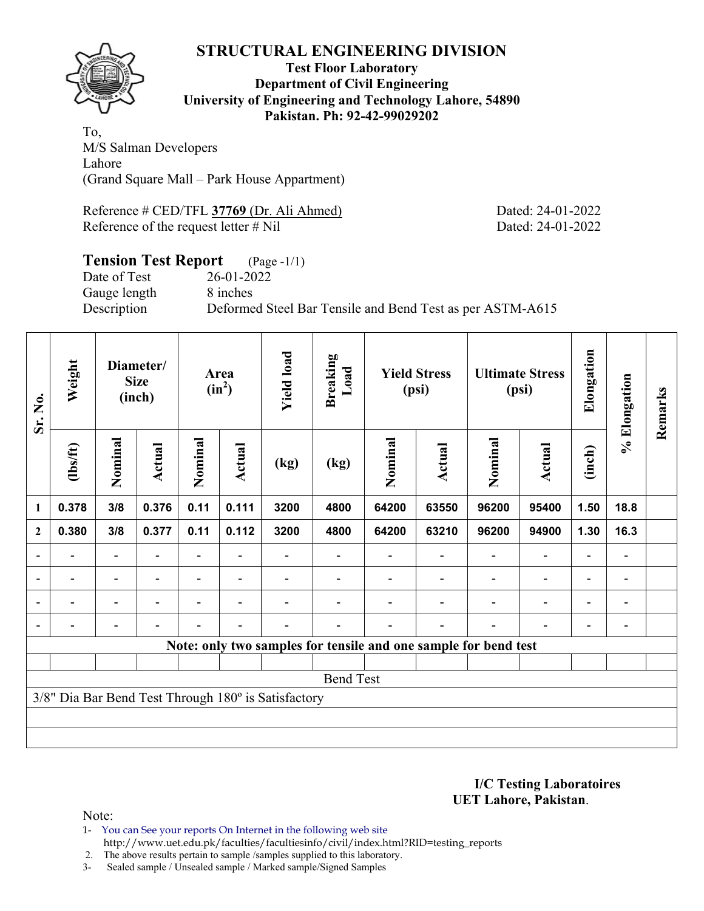

## **Test Floor Laboratory Department of Civil Engineering University of Engineering and Technology Lahore, 54890 Pakistan. Ph: 92-42-99029202**

To, M/S Salman Developers Lahore (Grand Square Mall – Park House Appartment)

Reference # CED/TFL **37769** (Dr. Ali Ahmed) Dated: 24-01-2022 Reference of the request letter # Nil Dated: 24-01-2022

## **Tension Test Report** (Page -1/1) Date of Test 26-01-2022 Gauge length 8 inches

Description Deformed Steel Bar Tensile and Bend Test as per ASTM-A615

| Sr. No.        | Weight         |                          | Diameter/<br><b>Size</b><br>(inch) | Area<br>$(in^2)$ |                          | <b>Yield load</b>                                   | <b>Breaking</b><br>Load |         | <b>Yield Stress</b><br>(psi)                                    |         | <b>Ultimate Stress</b><br>(psi) | Elongation               | % Elongation             | Remarks |
|----------------|----------------|--------------------------|------------------------------------|------------------|--------------------------|-----------------------------------------------------|-------------------------|---------|-----------------------------------------------------------------|---------|---------------------------------|--------------------------|--------------------------|---------|
|                | (1bs/ft)       | Nominal                  | Actual                             | Nominal          | Actual                   | (kg)                                                | (kg)                    | Nominal | <b>Actual</b>                                                   | Nominal | <b>Actual</b>                   | (inch)                   |                          |         |
| $\mathbf{1}$   | 0.378          | 3/8                      | 0.376                              | 0.11             | 0.111                    | 3200                                                | 4800                    | 64200   | 63550                                                           | 96200   | 95400                           | 1.50                     | 18.8                     |         |
| $\mathbf{2}$   | 0.380          | 3/8                      | 0.377                              | 0.11             | 0.112                    | 3200                                                | 4800                    | 64200   | 63210                                                           | 96200   | 94900                           | 1.30                     | 16.3                     |         |
| $\overline{a}$ |                | $\overline{\phantom{0}}$ |                                    |                  |                          |                                                     |                         |         |                                                                 |         |                                 |                          |                          |         |
| $\blacksquare$ | $\blacksquare$ | $\overline{\phantom{a}}$ | $\blacksquare$                     | $\blacksquare$   | $\blacksquare$           |                                                     |                         |         |                                                                 |         | $\overline{\phantom{0}}$        | $\overline{\phantom{0}}$ | $\blacksquare$           |         |
|                | -              | $\overline{\phantom{0}}$ | ۰                                  | -                | $\overline{\phantom{0}}$ |                                                     |                         |         |                                                                 |         | $\overline{\phantom{0}}$        | $\overline{\phantom{0}}$ | $\overline{\phantom{a}}$ |         |
|                |                | $\overline{\phantom{0}}$ |                                    |                  |                          |                                                     |                         |         |                                                                 |         |                                 | ۰                        |                          |         |
|                |                |                          |                                    |                  |                          |                                                     |                         |         | Note: only two samples for tensile and one sample for bend test |         |                                 |                          |                          |         |
|                |                |                          |                                    |                  |                          |                                                     |                         |         |                                                                 |         |                                 |                          |                          |         |
|                |                |                          |                                    |                  |                          |                                                     | <b>Bend Test</b>        |         |                                                                 |         |                                 |                          |                          |         |
|                |                |                          |                                    |                  |                          | 3/8" Dia Bar Bend Test Through 180° is Satisfactory |                         |         |                                                                 |         |                                 |                          |                          |         |
|                |                |                          |                                    |                  |                          |                                                     |                         |         |                                                                 |         |                                 |                          |                          |         |
|                |                |                          |                                    |                  |                          |                                                     |                         |         |                                                                 |         |                                 |                          |                          |         |

**I/C Testing Laboratoires UET Lahore, Pakistan**.

Note:

1- You can See your reports On Internet in the following web site http://www.uet.edu.pk/faculties/facultiesinfo/civil/index.html?RID=testing\_reports

2. The above results pertain to sample /samples supplied to this laboratory.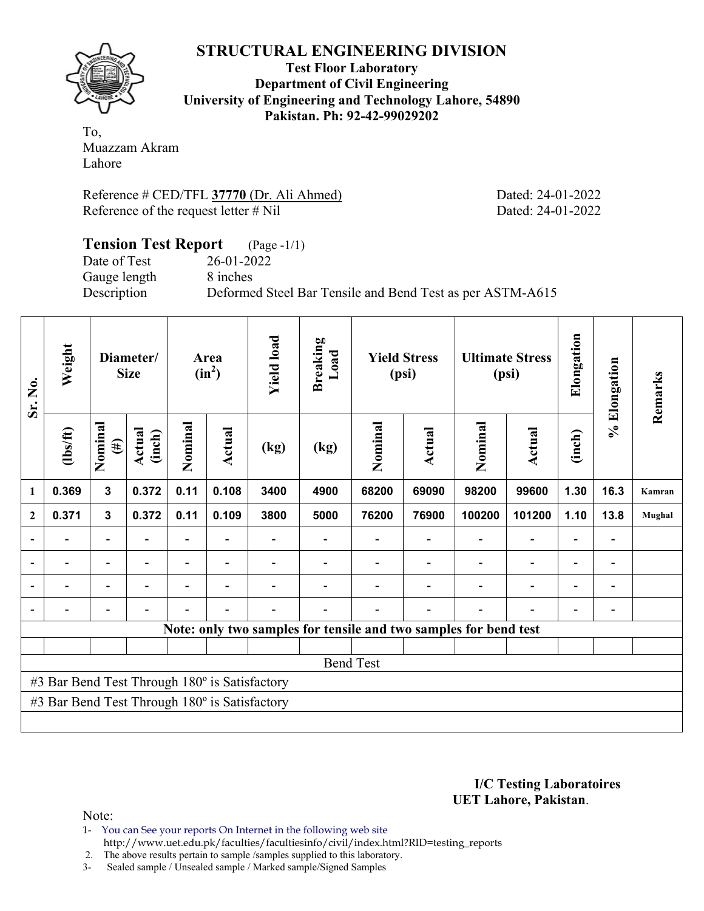**Test Floor Laboratory Department of Civil Engineering University of Engineering and Technology Lahore, 54890 Pakistan. Ph: 92-42-99029202** 

To, Muazzam Akram Lahore

Reference # CED/TFL **37770** (Dr. Ali Ahmed) Dated: 24-01-2022 Reference of the request letter # Nil Dated: 24-01-2022

## **Tension Test Report** (Page -1/1) Date of Test 26-01-2022 Gauge length 8 inches Description Deformed Steel Bar Tensile and Bend Test as per ASTM-A615

| Sr. No. | Weight                                        |                   | Diameter/<br><b>Size</b> | Area<br>$(in^2)$ |        | <b>Yield load</b>        | <b>Breaking</b><br>Load                        |                                                                  | <b>Yield Stress</b><br>(psi) |             | <b>Ultimate Stress</b><br>(psi) | Elongation               | Elongation               | Remarks       |
|---------|-----------------------------------------------|-------------------|--------------------------|------------------|--------|--------------------------|------------------------------------------------|------------------------------------------------------------------|------------------------------|-------------|---------------------------------|--------------------------|--------------------------|---------------|
|         | (1bs/ft)                                      | Nominal<br>$(\#)$ | Actual<br>(inch)         | Nominal          | Actual | (kg)                     | Nominal<br>Nominal<br>Actual<br>Actual<br>(kg) |                                                                  | (inch)                       | $\geqslant$ |                                 |                          |                          |               |
| 1       | 0.369                                         | 3                 | 0.372                    | 0.11             | 0.108  | 3400                     | 4900                                           | 68200                                                            | 69090                        | 98200       | 99600                           | 1.30                     | 16.3                     | Kamran        |
| 2       | 0.371                                         | 3                 | 0.372                    | 0.11             | 0.109  | 3800                     | 5000                                           | 76200                                                            | 76900                        | 100200      | 101200                          | 1.10                     | 13.8                     | <b>Mughal</b> |
|         |                                               |                   |                          |                  |        |                          |                                                |                                                                  |                              |             |                                 |                          | $\overline{a}$           |               |
|         |                                               |                   |                          |                  |        | $\overline{\phantom{0}}$ | $\overline{\phantom{a}}$                       |                                                                  | $\overline{\phantom{0}}$     |             |                                 | $\overline{\phantom{0}}$ | $\overline{\phantom{a}}$ |               |
|         |                                               |                   |                          |                  |        |                          | $\blacksquare$                                 |                                                                  |                              |             |                                 |                          | $\blacksquare$           |               |
|         |                                               |                   |                          |                  | ۰      | $\overline{\phantom{0}}$ | $\overline{\phantom{0}}$                       |                                                                  |                              |             |                                 | $\overline{\phantom{0}}$ | $\overline{\phantom{0}}$ |               |
|         |                                               |                   |                          |                  |        |                          |                                                | Note: only two samples for tensile and two samples for bend test |                              |             |                                 |                          |                          |               |
|         |                                               |                   |                          |                  |        |                          |                                                |                                                                  |                              |             |                                 |                          |                          |               |
|         | <b>Bend Test</b>                              |                   |                          |                  |        |                          |                                                |                                                                  |                              |             |                                 |                          |                          |               |
|         | #3 Bar Bend Test Through 180° is Satisfactory |                   |                          |                  |        |                          |                                                |                                                                  |                              |             |                                 |                          |                          |               |
|         | #3 Bar Bend Test Through 180° is Satisfactory |                   |                          |                  |        |                          |                                                |                                                                  |                              |             |                                 |                          |                          |               |
|         |                                               |                   |                          |                  |        |                          |                                                |                                                                  |                              |             |                                 |                          |                          |               |

**I/C Testing Laboratoires UET Lahore, Pakistan**.

Note:

1- You can See your reports On Internet in the following web site http://www.uet.edu.pk/faculties/facultiesinfo/civil/index.html?RID=testing\_reports

2. The above results pertain to sample /samples supplied to this laboratory.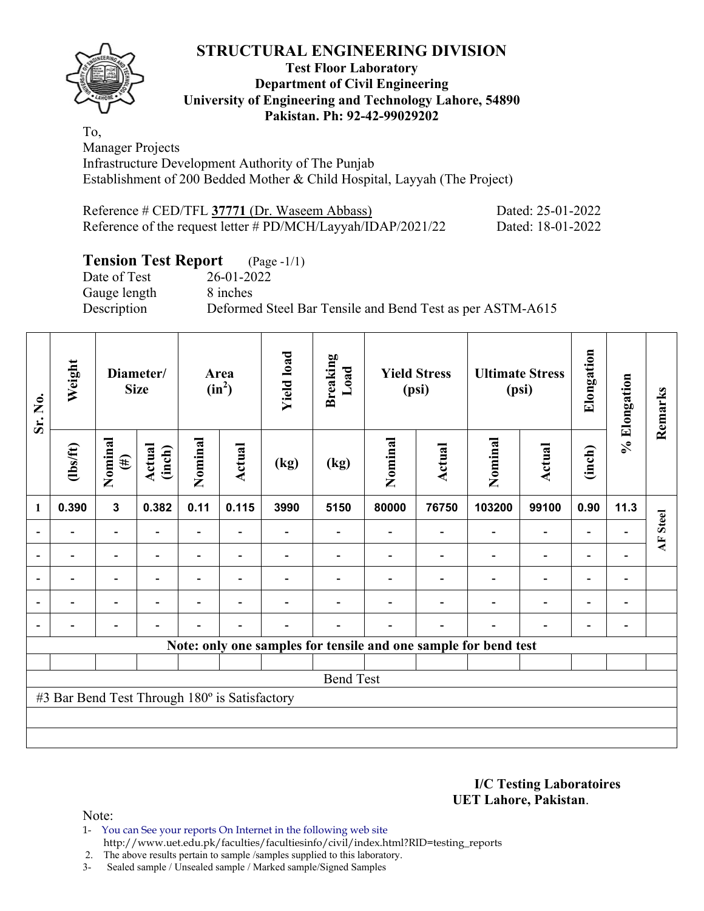## **Test Floor Laboratory Department of Civil Engineering University of Engineering and Technology Lahore, 54890 Pakistan. Ph: 92-42-99029202**

To, Manager Projects Infrastructure Development Authority of The Punjab Establishment of 200 Bedded Mother & Child Hospital, Layyah (The Project)

| Reference # CED/TFL 37771 (Dr. Waseem Abbass)                | Dated: 25-01-2022 |
|--------------------------------------------------------------|-------------------|
| Reference of the request letter # PD/MCH/Layyah/IDAP/2021/22 | Dated: 18-01-2022 |

# **Tension Test Report** (Page -1/1)

Gauge length 8 inches

Date of Test 26-01-2022 Description Deformed Steel Bar Tensile and Bend Test as per ASTM-A615

| Sr. No.        | Weight<br>Diameter/<br><b>Size</b>            |                          |                  | Area<br>$(in^2)$ | <b>Yield load</b>        | <b>Breaking</b><br>Load |                  | <b>Yield Stress</b><br>(psi) |        | <b>Ultimate Stress</b><br>(psi)                                 | Elongation               | % Elongation             | Remarks                  |          |
|----------------|-----------------------------------------------|--------------------------|------------------|------------------|--------------------------|-------------------------|------------------|------------------------------|--------|-----------------------------------------------------------------|--------------------------|--------------------------|--------------------------|----------|
|                | $\frac{2}{10}$                                | Nominal<br>$(\#)$        | Actual<br>(inch) | Nominal          | <b>Actual</b>            | (kg)                    | (kg)             | Nominal                      | Actual | Nominal                                                         | Actual                   | (inch)                   |                          |          |
| 1              | 0.390                                         | $\mathbf{3}$             | 0.382            | 0.11             | 0.115                    | 3990                    | 5150             | 80000                        | 76750  | 103200                                                          | 99100                    | 0.90                     | 11.3                     |          |
|                |                                               | $\overline{\phantom{0}}$ |                  |                  |                          |                         |                  |                              |        |                                                                 | $\overline{\phantom{0}}$ |                          |                          | AF Steel |
|                |                                               | $\overline{\phantom{0}}$ |                  |                  |                          |                         |                  |                              |        |                                                                 | $\overline{\phantom{0}}$ | $\overline{\phantom{0}}$ |                          |          |
| $\blacksquare$ |                                               | Ξ.                       |                  |                  | $\blacksquare$           |                         |                  |                              |        |                                                                 | $\blacksquare$           | $\overline{\phantom{0}}$ | $\overline{\phantom{0}}$ |          |
|                |                                               | $\blacksquare$           |                  | ÷                | $\overline{\phantom{a}}$ |                         |                  |                              |        |                                                                 | $\blacksquare$           | $\overline{a}$           |                          |          |
|                |                                               | $\overline{\phantom{0}}$ |                  |                  | $\overline{\phantom{0}}$ |                         |                  |                              |        |                                                                 | $\overline{\phantom{0}}$ | ۰                        |                          |          |
|                |                                               |                          |                  |                  |                          |                         |                  |                              |        | Note: only one samples for tensile and one sample for bend test |                          |                          |                          |          |
|                |                                               |                          |                  |                  |                          |                         |                  |                              |        |                                                                 |                          |                          |                          |          |
|                |                                               |                          |                  |                  |                          |                         | <b>Bend Test</b> |                              |        |                                                                 |                          |                          |                          |          |
|                | #3 Bar Bend Test Through 180° is Satisfactory |                          |                  |                  |                          |                         |                  |                              |        |                                                                 |                          |                          |                          |          |
|                |                                               |                          |                  |                  |                          |                         |                  |                              |        |                                                                 |                          |                          |                          |          |
|                |                                               |                          |                  |                  |                          |                         |                  |                              |        |                                                                 |                          |                          |                          |          |

**I/C Testing Laboratoires UET Lahore, Pakistan**.

Note:

1- You can See your reports On Internet in the following web site http://www.uet.edu.pk/faculties/facultiesinfo/civil/index.html?RID=testing\_reports

2. The above results pertain to sample /samples supplied to this laboratory.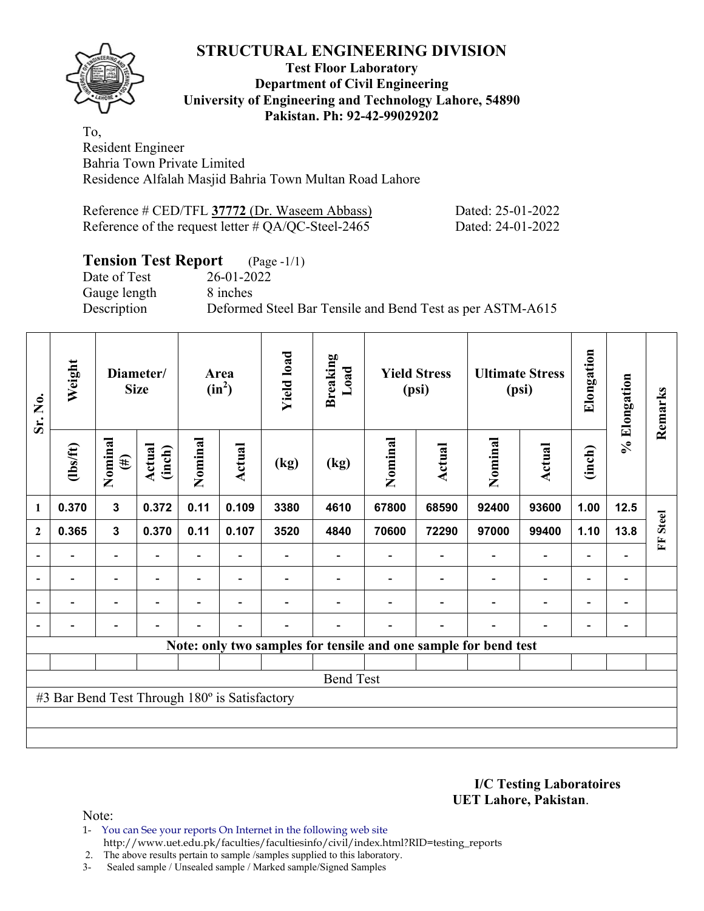## **Test Floor Laboratory Department of Civil Engineering University of Engineering and Technology Lahore, 54890 Pakistan. Ph: 92-42-99029202**

To, Resident Engineer Bahria Town Private Limited Residence Alfalah Masjid Bahria Town Multan Road Lahore

| Reference # CED/TFL 37772 (Dr. Waseem Abbass)         | Dated: 25-01-2022 |
|-------------------------------------------------------|-------------------|
| Reference of the request letter $\#$ QA/QC-Steel-2465 | Dated: 24-01-2022 |

# **Tension Test Report** (Page -1/1)

Date of Test 26-01-2022 Gauge length 8 inches

Description Deformed Steel Bar Tensile and Bend Test as per ASTM-A615

| Sr. No.        | Weight                                        |                          | Diameter/<br><b>Size</b> | Area<br>$(in^2)$ |                          | <b>Yield load</b> | <b>Breaking</b><br>Load |         | <b>Yield Stress</b><br>(psi)                                    |         | <b>Ultimate Stress</b><br>(psi) | Elongation               | % Elongation             | Remarks           |
|----------------|-----------------------------------------------|--------------------------|--------------------------|------------------|--------------------------|-------------------|-------------------------|---------|-----------------------------------------------------------------|---------|---------------------------------|--------------------------|--------------------------|-------------------|
|                | $lbsft$                                       | Nominal<br>$(\#)$        | <b>Actual</b><br>(inch)  | Nominal          | Actual                   | (kg)              | (kg)                    | Nominal | <b>Actual</b>                                                   | Nominal | <b>Actual</b>                   | (inch)                   |                          |                   |
| 1              | 0.370                                         | $\mathbf{3}$             | 0.372                    | 0.11             | 0.109                    | 3380              | 4610                    | 67800   | 68590                                                           | 92400   | 93600                           | 1.00                     | $12.5$                   |                   |
| $\mathbf{2}$   | 0.365                                         | $\mathbf{3}$             | 0.370                    | 0.11             | 0.107                    | 3520              | 4840                    | 70600   | 72290                                                           | 97000   | 99400                           | 1.10                     | 13.8                     | <b>Steel</b><br>E |
|                |                                               | $\overline{\phantom{0}}$ |                          |                  |                          |                   |                         |         |                                                                 |         |                                 |                          |                          |                   |
| $\overline{a}$ | -                                             | $\overline{\phantom{0}}$ |                          |                  | ٠                        |                   |                         |         |                                                                 |         |                                 | $\overline{\phantom{0}}$ | $\overline{\phantom{a}}$ |                   |
| $\overline{a}$ | $\overline{\phantom{a}}$                      | $\overline{\phantom{0}}$ |                          |                  | $\overline{\phantom{0}}$ |                   |                         |         |                                                                 |         | $\overline{\phantom{0}}$        | $\overline{\phantom{a}}$ | $\overline{\phantom{0}}$ |                   |
|                |                                               | $\overline{\phantom{0}}$ |                          |                  | ۰                        |                   |                         |         |                                                                 |         | $\overline{\phantom{0}}$        | $\overline{\phantom{0}}$ | $\overline{a}$           |                   |
|                |                                               |                          |                          |                  |                          |                   |                         |         | Note: only two samples for tensile and one sample for bend test |         |                                 |                          |                          |                   |
|                |                                               |                          |                          |                  |                          |                   |                         |         |                                                                 |         |                                 |                          |                          |                   |
|                |                                               |                          |                          |                  |                          |                   | <b>Bend Test</b>        |         |                                                                 |         |                                 |                          |                          |                   |
|                | #3 Bar Bend Test Through 180° is Satisfactory |                          |                          |                  |                          |                   |                         |         |                                                                 |         |                                 |                          |                          |                   |
|                |                                               |                          |                          |                  |                          |                   |                         |         |                                                                 |         |                                 |                          |                          |                   |
|                |                                               |                          |                          |                  |                          |                   |                         |         |                                                                 |         |                                 |                          |                          |                   |

**I/C Testing Laboratoires UET Lahore, Pakistan**.

Note:

1- You can See your reports On Internet in the following web site http://www.uet.edu.pk/faculties/facultiesinfo/civil/index.html?RID=testing\_reports

2. The above results pertain to sample /samples supplied to this laboratory.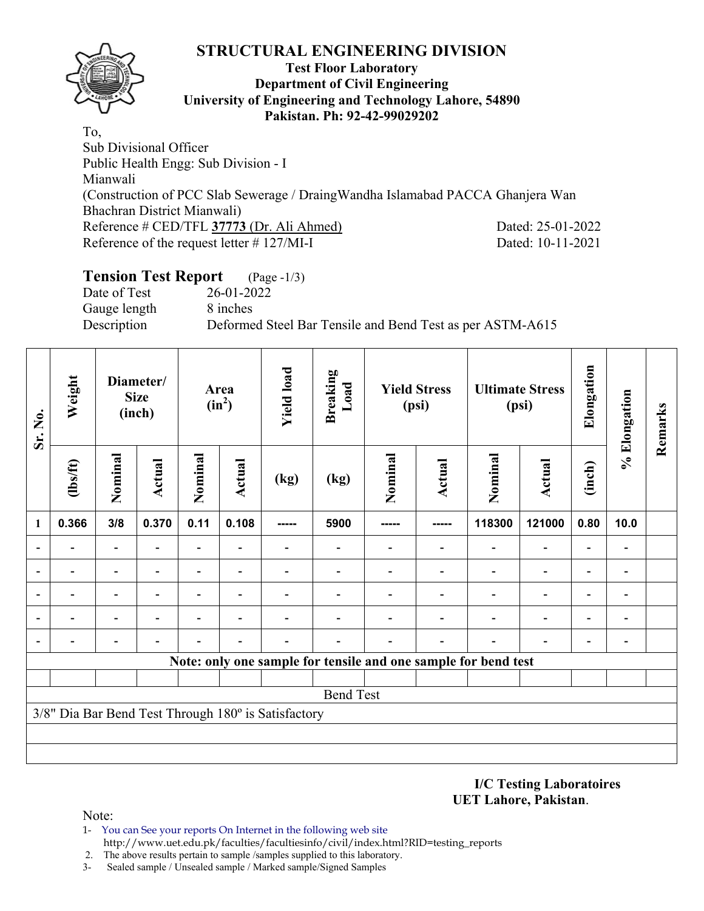

## **Test Floor Laboratory Department of Civil Engineering University of Engineering and Technology Lahore, 54890 Pakistan. Ph: 92-42-99029202**

To, Sub Divisional Officer Public Health Engg: Sub Division - I Mianwali (Construction of PCC Slab Sewerage / DraingWandha Islamabad PACCA Ghanjera Wan Bhachran District Mianwali) Reference # CED/TFL **37773** (Dr. Ali Ahmed) Dated: 25-01-2022 Reference of the request letter # 127/MI-I Dated: 10-11-2021

# **Tension Test Report** (Page -1/3)

Date of Test 26-01-2022 Gauge length 8 inches

Description Deformed Steel Bar Tensile and Bend Test as per ASTM-A615

| Sr. No.                  | Weight         |                          | Diameter/<br><b>Size</b><br>(inch) |                          | Area<br>$(in^2)$ | <b>Yield load</b>                                   | <b>Breaking</b><br>Load |         | <b>Yield Stress</b><br>(psi) |                                                                | <b>Ultimate Stress</b><br>(psi) | Elongation               | % Elongation             | Remarks |
|--------------------------|----------------|--------------------------|------------------------------------|--------------------------|------------------|-----------------------------------------------------|-------------------------|---------|------------------------------|----------------------------------------------------------------|---------------------------------|--------------------------|--------------------------|---------|
|                          | $\frac{2}{10}$ | Nominal                  | <b>Actual</b>                      | Nominal                  | <b>Actual</b>    | (kg)                                                | (kg)                    | Nominal | Actual                       | Nominal                                                        | <b>Actual</b>                   | (inch)                   |                          |         |
| 1                        | 0.366          | 3/8                      | 0.370                              | 0.11                     | 0.108            | -----                                               | 5900                    |         | -----                        | 118300                                                         | 121000                          | 0.80                     | 10.0                     |         |
|                          |                | $\overline{\phantom{a}}$ |                                    | $\overline{\phantom{a}}$ |                  |                                                     |                         |         | $\blacksquare$               |                                                                | $\overline{\phantom{a}}$        |                          | $\overline{a}$           |         |
|                          |                | $\overline{\phantom{a}}$ | $\blacksquare$                     | $\overline{\phantom{0}}$ |                  |                                                     |                         |         |                              |                                                                | $\overline{\phantom{0}}$        |                          | $\overline{a}$           |         |
| $\overline{\phantom{a}}$ |                |                          |                                    |                          |                  |                                                     |                         |         |                              |                                                                |                                 |                          | $\overline{a}$           |         |
| $\overline{\phantom{a}}$ |                |                          |                                    |                          |                  |                                                     |                         |         |                              |                                                                | $\overline{\phantom{0}}$        | $\overline{\phantom{0}}$ | $\overline{\phantom{a}}$ |         |
| $\overline{\phantom{a}}$ |                |                          |                                    |                          |                  |                                                     |                         |         |                              | $\overline{\phantom{0}}$                                       |                                 |                          | $\blacksquare$           |         |
|                          |                |                          |                                    |                          |                  |                                                     |                         |         |                              | Note: only one sample for tensile and one sample for bend test |                                 |                          |                          |         |
|                          |                |                          |                                    |                          |                  |                                                     |                         |         |                              |                                                                |                                 |                          |                          |         |
|                          |                |                          |                                    |                          |                  |                                                     | <b>Bend Test</b>        |         |                              |                                                                |                                 |                          |                          |         |
|                          |                |                          |                                    |                          |                  | 3/8" Dia Bar Bend Test Through 180° is Satisfactory |                         |         |                              |                                                                |                                 |                          |                          |         |
|                          |                |                          |                                    |                          |                  |                                                     |                         |         |                              |                                                                |                                 |                          |                          |         |
|                          |                |                          |                                    |                          |                  |                                                     |                         |         |                              |                                                                |                                 |                          |                          |         |

**I/C Testing Laboratoires UET Lahore, Pakistan**.

- 1- You can See your reports On Internet in the following web site http://www.uet.edu.pk/faculties/facultiesinfo/civil/index.html?RID=testing\_reports
- 2. The above results pertain to sample /samples supplied to this laboratory.
- 3- Sealed sample / Unsealed sample / Marked sample/Signed Samples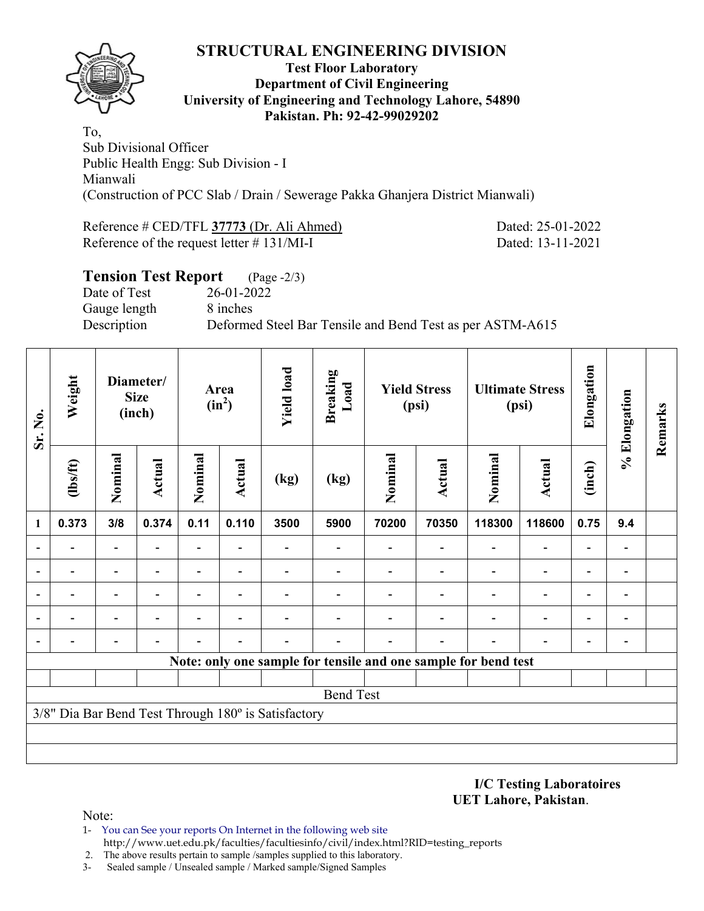

## **Test Floor Laboratory Department of Civil Engineering University of Engineering and Technology Lahore, 54890 Pakistan. Ph: 92-42-99029202**

To, Sub Divisional Officer Public Health Engg: Sub Division - I Mianwali (Construction of PCC Slab / Drain / Sewerage Pakka Ghanjera District Mianwali)

Reference # CED/TFL **37773** (Dr. Ali Ahmed) Dated: 25-01-2022 Reference of the request letter # 131/MI-I Dated: 13-11-2021

| <b>Tension Test Report</b> (Page -2/3) |                                                           |
|----------------------------------------|-----------------------------------------------------------|
| Date of Test                           | 26-01-2022                                                |
| Gauge length                           | 8 inches                                                  |
| Description                            | Deformed Steel Bar Tensile and Bend Test as per ASTM-A615 |
|                                        |                                                           |

| Sr. No. | Weight<br>Diameter/<br><b>Size</b><br>(inch) |                          | Area<br>$(in^2)$ |                          | <b>Yield load</b>        | <b>Breaking</b><br>Load                             | <b>Yield Stress</b><br>(psi) |         | <b>Ultimate Stress</b><br>(psi) |                                                                | Elongation                   | % Elongation             | Remarks        |  |
|---------|----------------------------------------------|--------------------------|------------------|--------------------------|--------------------------|-----------------------------------------------------|------------------------------|---------|---------------------------------|----------------------------------------------------------------|------------------------------|--------------------------|----------------|--|
|         | $\frac{2}{10}$                               | Nominal                  | <b>Actual</b>    | Nominal                  | <b>Actual</b>            | (kg)                                                | (kg)                         | Nominal | Actual                          | Nominal                                                        | <b>Actual</b>                | (inch)                   |                |  |
| 1       | 0.373                                        | 3/8                      | 0.374            | 0.11                     | 0.110                    | 3500                                                | 5900                         | 70200   | 70350                           | 118300                                                         | 118600                       | 0.75                     | 9.4            |  |
|         |                                              | $\overline{\phantom{0}}$ |                  | $\overline{\phantom{0}}$ |                          |                                                     |                              |         |                                 | $\overline{\phantom{0}}$                                       | $\overline{\phantom{a}}$     | $\overline{a}$           | $\overline{a}$ |  |
|         | $\overline{\phantom{0}}$                     | $\overline{\phantom{a}}$ |                  | $\overline{\phantom{0}}$ | $\overline{\phantom{0}}$ |                                                     |                              |         |                                 | $\overline{\phantom{0}}$                                       | $\overline{\phantom{a}}$     | $\overline{\phantom{0}}$ | $\overline{a}$ |  |
|         | $\blacksquare$                               | $\overline{\phantom{0}}$ | $\blacksquare$   | $\overline{\phantom{0}}$ | $\overline{\phantom{0}}$ |                                                     |                              |         | ۰                               | $\overline{\phantom{0}}$                                       | $\overline{\phantom{a}}$     | $\blacksquare$           | $\blacksquare$ |  |
|         |                                              | -                        |                  |                          |                          |                                                     |                              |         |                                 |                                                                | $\qquad \qquad \blacksquare$ | $\overline{\phantom{0}}$ | $\overline{a}$ |  |
|         |                                              |                          |                  |                          |                          |                                                     |                              |         |                                 |                                                                | $\overline{\phantom{0}}$     | $\overline{\phantom{0}}$ | $\overline{a}$ |  |
|         |                                              |                          |                  |                          |                          |                                                     |                              |         |                                 | Note: only one sample for tensile and one sample for bend test |                              |                          |                |  |
|         |                                              |                          |                  |                          |                          |                                                     |                              |         |                                 |                                                                |                              |                          |                |  |
|         |                                              |                          |                  |                          |                          |                                                     | <b>Bend Test</b>             |         |                                 |                                                                |                              |                          |                |  |
|         |                                              |                          |                  |                          |                          | 3/8" Dia Bar Bend Test Through 180° is Satisfactory |                              |         |                                 |                                                                |                              |                          |                |  |
|         |                                              |                          |                  |                          |                          |                                                     |                              |         |                                 |                                                                |                              |                          |                |  |
|         |                                              |                          |                  |                          |                          |                                                     |                              |         |                                 |                                                                |                              |                          |                |  |

**I/C Testing Laboratoires UET Lahore, Pakistan**.

- 1- You can See your reports On Internet in the following web site http://www.uet.edu.pk/faculties/facultiesinfo/civil/index.html?RID=testing\_reports
- 2. The above results pertain to sample /samples supplied to this laboratory.
- 3- Sealed sample / Unsealed sample / Marked sample/Signed Samples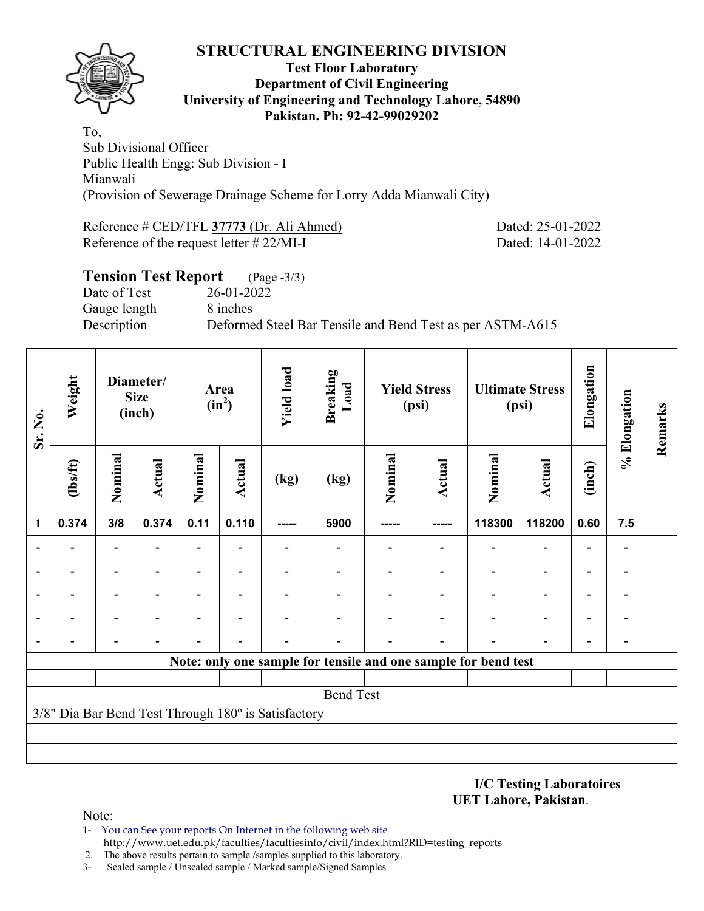

## **Test Floor Laboratory Department of Civil Engineering University of Engineering and Technology Lahore, 54890 Pakistan. Ph: 92-42-99029202**

To, Sub Divisional Officer Public Health Engg: Sub Division - I Mianwali (Provision of Sewerage Drainage Scheme for Lorry Adda Mianwali City)

Reference # CED/TFL **37773** (Dr. Ali Ahmed) Dated: 25-01-2022 Reference of the request letter # 22/MI-I Dated: 14-01-2022

| <b>Tension Test Report</b> | $(Page - 3/3)$                                            |
|----------------------------|-----------------------------------------------------------|
| Date of Test               | 26-01-2022                                                |
| Gauge length               | 8 inches                                                  |
| Description                | Deformed Steel Bar Tensile and Bend Test as per ASTM-A615 |
|                            |                                                           |

| Sr. No. | Weight<br>Diameter/<br><b>Size</b><br>(inch) |                          |                | <b>Yield load</b><br>Area<br>$(in^2)$ |                          | <b>Breaking</b><br>Load                             | <b>Yield Stress</b><br>(psi) |         | <b>Ultimate Stress</b><br>(psi) |                                                                | Elongation               | % Elongation             | Remarks                      |  |
|---------|----------------------------------------------|--------------------------|----------------|---------------------------------------|--------------------------|-----------------------------------------------------|------------------------------|---------|---------------------------------|----------------------------------------------------------------|--------------------------|--------------------------|------------------------------|--|
|         | $\frac{2}{10}$                               | Nominal                  | <b>Actual</b>  | Nominal                               | <b>Actual</b>            | (kg)                                                | (kg)                         | Nominal | Actual                          | Nominal                                                        | <b>Actual</b>            | (inch)                   |                              |  |
| 1       | 0.374                                        | 3/8                      | 0.374          | 0.11                                  | 0.110                    | -----                                               | 5900                         | -----   | -----                           | 118300                                                         | 118200                   | 0.60                     | 7.5                          |  |
|         |                                              | $\overline{\phantom{0}}$ |                | $\overline{\phantom{0}}$              |                          |                                                     |                              |         |                                 | $\overline{\phantom{0}}$                                       | $\overline{\phantom{a}}$ | $\overline{a}$           | $\blacksquare$               |  |
|         | $\overline{\phantom{0}}$                     | $\overline{\phantom{a}}$ |                | $\overline{\phantom{0}}$              | $\overline{\phantom{0}}$ |                                                     |                              |         |                                 | $\overline{\phantom{0}}$                                       | $\overline{\phantom{a}}$ | -                        | $\qquad \qquad \blacksquare$ |  |
|         | $\blacksquare$                               | $\overline{\phantom{0}}$ | $\blacksquare$ | $\overline{\phantom{0}}$              | $\overline{\phantom{0}}$ |                                                     | $\overline{\phantom{0}}$     |         | ۰                               | $\overline{\phantom{0}}$                                       | $\overline{\phantom{a}}$ | $\blacksquare$           | $\blacksquare$               |  |
|         |                                              | -                        |                |                                       | ٠                        |                                                     |                              |         |                                 |                                                                | $\overline{\phantom{a}}$ | $\overline{\phantom{0}}$ | $\blacksquare$               |  |
|         |                                              |                          |                |                                       |                          |                                                     |                              |         |                                 |                                                                | $\overline{\phantom{0}}$ | $\overline{\phantom{0}}$ | $\overline{a}$               |  |
|         |                                              |                          |                |                                       |                          |                                                     |                              |         |                                 | Note: only one sample for tensile and one sample for bend test |                          |                          |                              |  |
|         |                                              |                          |                |                                       |                          |                                                     |                              |         |                                 |                                                                |                          |                          |                              |  |
|         |                                              |                          |                |                                       |                          |                                                     | <b>Bend Test</b>             |         |                                 |                                                                |                          |                          |                              |  |
|         |                                              |                          |                |                                       |                          | 3/8" Dia Bar Bend Test Through 180° is Satisfactory |                              |         |                                 |                                                                |                          |                          |                              |  |
|         |                                              |                          |                |                                       |                          |                                                     |                              |         |                                 |                                                                |                          |                          |                              |  |
|         |                                              |                          |                |                                       |                          |                                                     |                              |         |                                 |                                                                |                          |                          |                              |  |

**I/C Testing Laboratoires UET Lahore, Pakistan**.

- 1- You can See your reports On Internet in the following web site http://www.uet.edu.pk/faculties/facultiesinfo/civil/index.html?RID=testing\_reports
- 2. The above results pertain to sample /samples supplied to this laboratory.
- 3- Sealed sample / Unsealed sample / Marked sample/Signed Samples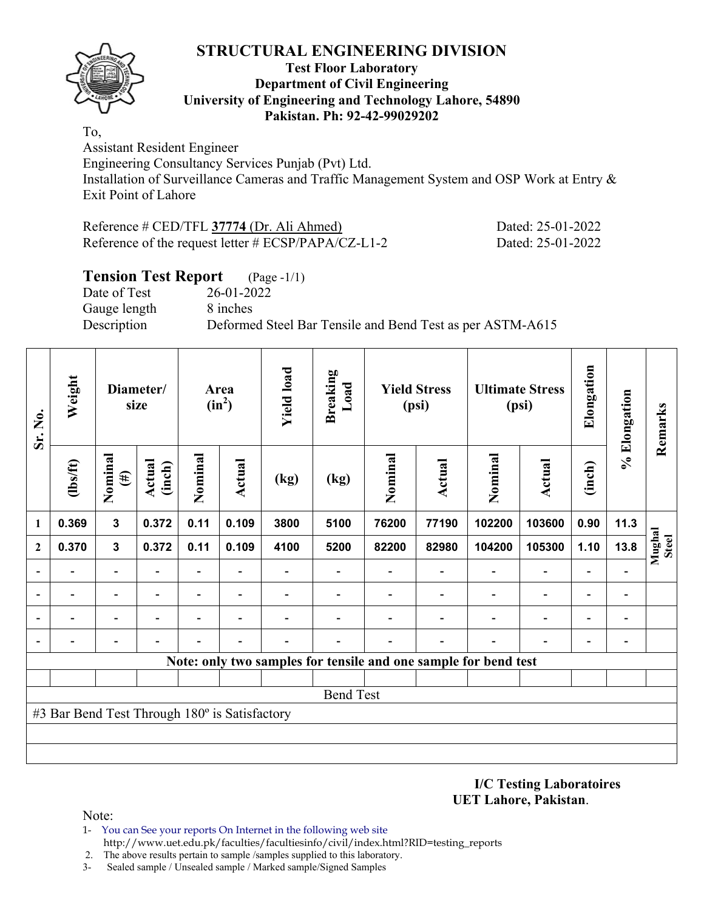

## **Test Floor Laboratory Department of Civil Engineering University of Engineering and Technology Lahore, 54890 Pakistan. Ph: 92-42-99029202**

To, Assistant Resident Engineer Engineering Consultancy Services Punjab (Pvt) Ltd. Installation of Surveillance Cameras and Traffic Management System and OSP Work at Entry &

Exit Point of Lahore

| Reference # CED/TFL 37774 (Dr. Ali Ahmed)           | Dated: 25-01-2022 |
|-----------------------------------------------------|-------------------|
| Reference of the request letter # ECSP/PAPA/CZ-L1-2 | Dated: 25-01-2022 |

# **Tension Test Report** (Page -1/1)

Date of Test 26-01-2022 Gauge length 8 inches

Description Deformed Steel Bar Tensile and Bend Test as per ASTM-A615

| Sr. No.        | Weight                                        | Diameter/<br>size        |                  | Area<br>$(in^2)$         |                          | <b>Yield load</b> | <b>Breaking</b><br>Load  | <b>Yield Stress</b><br>(psi)                                    |               | <b>Ultimate Stress</b><br>(psi) |                          | Elongation               | % Elongation   | Remarks                |
|----------------|-----------------------------------------------|--------------------------|------------------|--------------------------|--------------------------|-------------------|--------------------------|-----------------------------------------------------------------|---------------|---------------------------------|--------------------------|--------------------------|----------------|------------------------|
|                | (1bs/ft)                                      | Nominal<br>$(\#)$        | Actual<br>(inch) | Nominal                  | Actual                   | (kg)              | (kg)                     | Nominal                                                         | <b>Actual</b> | Nominal                         | <b>Actual</b>            | (inch)                   |                |                        |
| 1              | 0.369                                         | $\mathbf{3}$             | 0.372            | 0.11                     | 0.109                    | 3800              | 5100                     | 76200                                                           | 77190         | 102200                          | 103600                   | 0.90                     | 11.3           |                        |
| $\overline{2}$ | 0.370                                         | $\mathbf{3}$             | 0.372            | 0.11                     | 0.109                    | 4100              | 5200                     | 82200                                                           | 82980         | 104200                          | 105300                   | 1.10                     | 13.8           | Mughal<br><b>Steel</b> |
|                |                                               | $\overline{\phantom{0}}$ |                  | $\overline{\phantom{0}}$ |                          |                   | $\overline{\phantom{0}}$ |                                                                 |               |                                 | $\overline{\phantom{0}}$ | $\overline{\phantom{0}}$ |                |                        |
|                |                                               |                          |                  | -                        | $\overline{\phantom{a}}$ |                   |                          |                                                                 |               |                                 | $\overline{a}$           | $\overline{\phantom{0}}$ | -              |                        |
|                |                                               | ٠                        |                  | $\overline{\phantom{0}}$ | $\overline{\phantom{0}}$ |                   |                          |                                                                 |               |                                 | $\overline{\phantom{0}}$ | $\overline{\phantom{0}}$ | -              |                        |
|                |                                               |                          |                  |                          |                          |                   |                          |                                                                 |               |                                 |                          |                          | $\overline{a}$ |                        |
|                |                                               |                          |                  |                          |                          |                   |                          | Note: only two samples for tensile and one sample for bend test |               |                                 |                          |                          |                |                        |
|                |                                               |                          |                  |                          |                          |                   |                          |                                                                 |               |                                 |                          |                          |                |                        |
|                |                                               |                          |                  |                          |                          |                   | <b>Bend Test</b>         |                                                                 |               |                                 |                          |                          |                |                        |
|                | #3 Bar Bend Test Through 180° is Satisfactory |                          |                  |                          |                          |                   |                          |                                                                 |               |                                 |                          |                          |                |                        |
|                |                                               |                          |                  |                          |                          |                   |                          |                                                                 |               |                                 |                          |                          |                |                        |
|                |                                               |                          |                  |                          |                          |                   |                          |                                                                 |               |                                 |                          |                          |                |                        |

**I/C Testing Laboratoires UET Lahore, Pakistan**.

- 1- You can See your reports On Internet in the following web site http://www.uet.edu.pk/faculties/facultiesinfo/civil/index.html?RID=testing\_reports
- 2. The above results pertain to sample /samples supplied to this laboratory.
- 3- Sealed sample / Unsealed sample / Marked sample/Signed Samples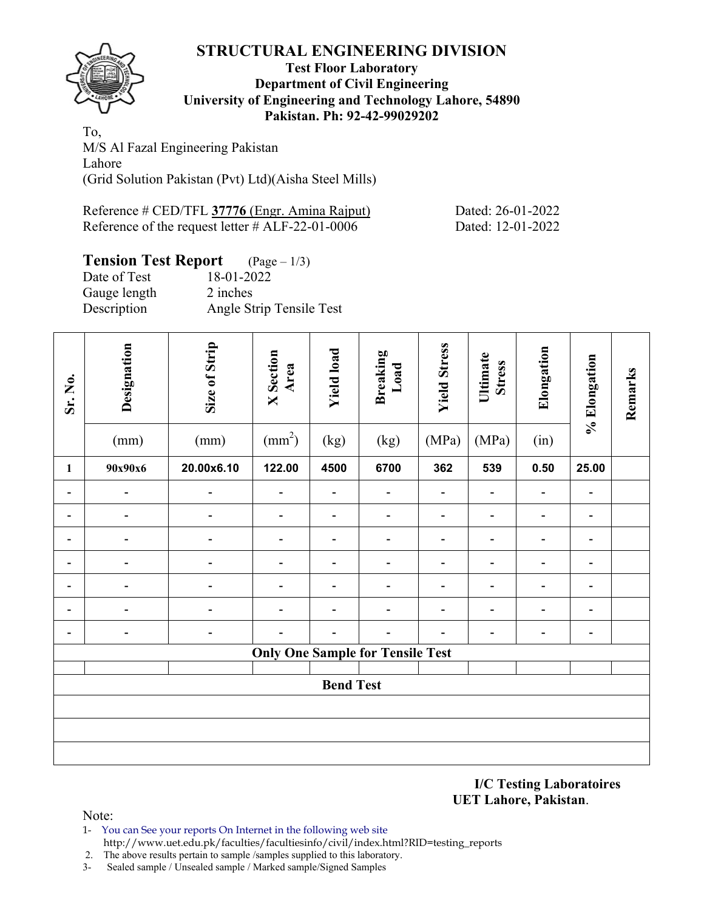

## **Test Floor Laboratory Department of Civil Engineering University of Engineering and Technology Lahore, 54890 Pakistan. Ph: 92-42-99029202**

To, M/S Al Fazal Engineering Pakistan Lahore (Grid Solution Pakistan (Pvt) Ltd)(Aisha Steel Mills)

| Reference # CED/TFL 37776 (Engr. Amina Rajput)      | Dated: 26-01-2022 |
|-----------------------------------------------------|-------------------|
| Reference of the request letter $\#$ ALF-22-01-0006 | Dated: 12-01-2022 |

# **Tension Test Report** (Page – 1/3)

| 18-01-2022               |
|--------------------------|
| 2 inches                 |
| Angle Strip Tensile Test |
|                          |

| Sr. No.                      | Designation<br>(mm) | Size of Strip<br>(mm) | <b>X</b> Section<br>Area<br>$\text{(mm}^2)$ | <b>Yield load</b><br>(kg) | <b>Breaking</b><br>Load<br>(kg)         | <b>Yield Stress</b><br>(MPa) | Ultimate<br><b>Stress</b><br>(MPa) | Elongation<br>(in)           | % Elongation             | Remarks |  |  |
|------------------------------|---------------------|-----------------------|---------------------------------------------|---------------------------|-----------------------------------------|------------------------------|------------------------------------|------------------------------|--------------------------|---------|--|--|
| $\mathbf{1}$                 | 90x90x6             | 20.00x6.10            | 122.00                                      | 4500                      | 6700                                    | 362                          | 539                                | 0.50                         | 25.00                    |         |  |  |
|                              |                     |                       |                                             |                           |                                         |                              |                                    | $\qquad \qquad \blacksquare$ |                          |         |  |  |
| $\blacksquare$               |                     |                       | $\blacksquare$                              | $\blacksquare$            |                                         |                              | $\overline{\phantom{0}}$           | $\blacksquare$               | $\overline{\phantom{a}}$ |         |  |  |
|                              |                     |                       |                                             |                           |                                         |                              |                                    |                              |                          |         |  |  |
| $\qquad \qquad \blacksquare$ |                     |                       |                                             | $\overline{a}$            |                                         |                              |                                    | $\blacksquare$               | -                        |         |  |  |
| $\qquad \qquad \blacksquare$ | -                   |                       |                                             | $\overline{\phantom{0}}$  |                                         |                              |                                    | $\qquad \qquad \blacksquare$ | $\overline{\phantom{a}}$ |         |  |  |
| $\qquad \qquad \blacksquare$ |                     |                       |                                             | $\overline{\phantom{0}}$  |                                         |                              |                                    | $\overline{\phantom{0}}$     | $\overline{\phantom{a}}$ |         |  |  |
|                              |                     |                       |                                             |                           |                                         |                              |                                    |                              | -                        |         |  |  |
|                              |                     |                       |                                             |                           | <b>Only One Sample for Tensile Test</b> |                              |                                    |                              |                          |         |  |  |
|                              |                     |                       |                                             | <b>Bend Test</b>          |                                         |                              |                                    |                              |                          |         |  |  |
|                              |                     |                       |                                             |                           |                                         |                              |                                    |                              |                          |         |  |  |
|                              |                     |                       |                                             |                           |                                         |                              |                                    |                              |                          |         |  |  |
|                              |                     |                       |                                             |                           |                                         |                              |                                    |                              |                          |         |  |  |

**I/C Testing Laboratoires UET Lahore, Pakistan**.

- 1- You can See your reports On Internet in the following web site http://www.uet.edu.pk/faculties/facultiesinfo/civil/index.html?RID=testing\_reports
- 2. The above results pertain to sample /samples supplied to this laboratory.
- 3- Sealed sample / Unsealed sample / Marked sample/Signed Samples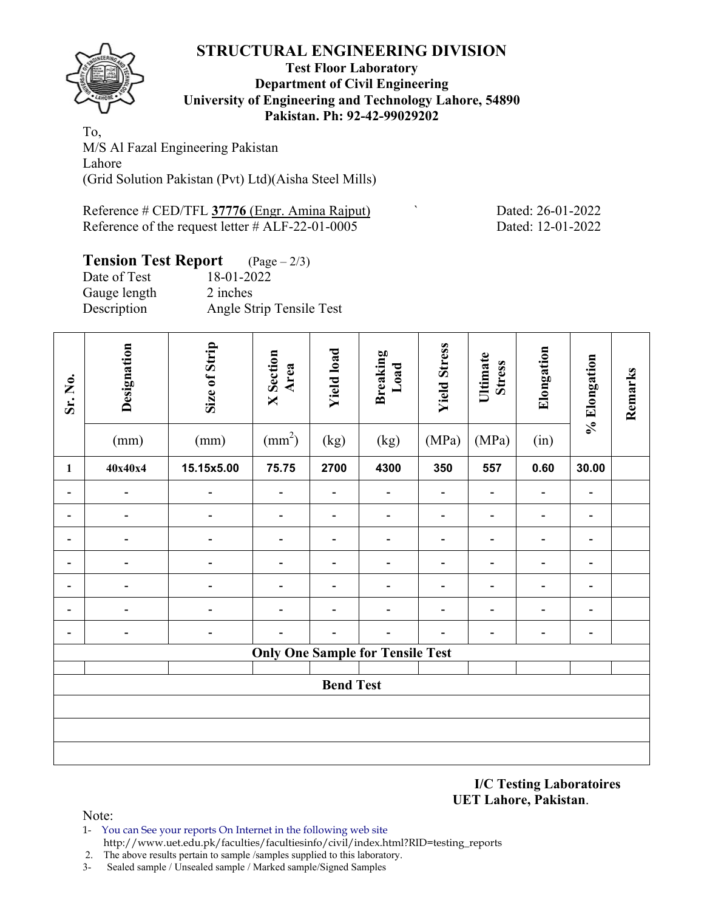

## **Test Floor Laboratory Department of Civil Engineering University of Engineering and Technology Lahore, 54890 Pakistan. Ph: 92-42-99029202**

To, M/S Al Fazal Engineering Pakistan Lahore (Grid Solution Pakistan (Pvt) Ltd)(Aisha Steel Mills)

Reference # CED/TFL 37776 (Engr. Amina Rajput) Dated: 26-01-2022 Reference of the request letter # ALF-22-01-0005 Dated: 12-01-2022

# **Tension Test Report** (Page – 2/3)

| Date of Test | 18-01-2022               |
|--------------|--------------------------|
| Gauge length | 2 inches                 |
| Description  | Angle Strip Tensile Test |
|              |                          |

| Sr. No.                      | Designation | Size of Strip | <b>X</b> Section<br>Area<br>$\text{(mm}^2)$ | <b>Yield load</b> | <b>Breaking</b><br>Load                 | <b>Yield Stress</b><br>(MPa) | Ultimate<br><b>Stress</b><br>(MPa) | Elongation                   | % Elongation                 | Remarks |
|------------------------------|-------------|---------------|---------------------------------------------|-------------------|-----------------------------------------|------------------------------|------------------------------------|------------------------------|------------------------------|---------|
|                              | (mm)        | (mm)          |                                             | (kg)              | (kg)                                    |                              |                                    | (in)                         |                              |         |
| $\mathbf{1}$                 | 40x40x4     | 15.15x5.00    | 75.75                                       | 2700              | 4300                                    | 350                          | 557                                | 0.60                         | 30.00                        |         |
| $\overline{\phantom{0}}$     |             |               |                                             |                   |                                         |                              |                                    | $\overline{a}$               | $\overline{\phantom{a}}$     |         |
|                              |             |               |                                             |                   |                                         |                              |                                    | -                            | $\overline{\phantom{a}}$     |         |
|                              |             |               |                                             |                   |                                         |                              |                                    | $\blacksquare$               | $\overline{\phantom{a}}$     |         |
| $\qquad \qquad \blacksquare$ |             |               |                                             |                   |                                         |                              |                                    | $\qquad \qquad \blacksquare$ | $\overline{\phantom{a}}$     |         |
|                              |             |               |                                             |                   |                                         |                              |                                    | -                            | $\qquad \qquad \blacksquare$ |         |
|                              |             |               |                                             |                   |                                         |                              |                                    |                              | $\overline{\phantom{a}}$     |         |
|                              |             |               |                                             |                   |                                         |                              |                                    |                              | $\blacksquare$               |         |
|                              |             |               |                                             |                   | <b>Only One Sample for Tensile Test</b> |                              |                                    |                              |                              |         |
|                              |             |               |                                             |                   |                                         |                              |                                    |                              |                              |         |
|                              |             |               |                                             | <b>Bend Test</b>  |                                         |                              |                                    |                              |                              |         |
|                              |             |               |                                             |                   |                                         |                              |                                    |                              |                              |         |
|                              |             |               |                                             |                   |                                         |                              |                                    |                              |                              |         |
|                              |             |               |                                             |                   |                                         |                              |                                    |                              |                              |         |

**I/C Testing Laboratoires UET Lahore, Pakistan**.

- 1- You can See your reports On Internet in the following web site http://www.uet.edu.pk/faculties/facultiesinfo/civil/index.html?RID=testing\_reports
- 2. The above results pertain to sample /samples supplied to this laboratory.
- 3- Sealed sample / Unsealed sample / Marked sample/Signed Samples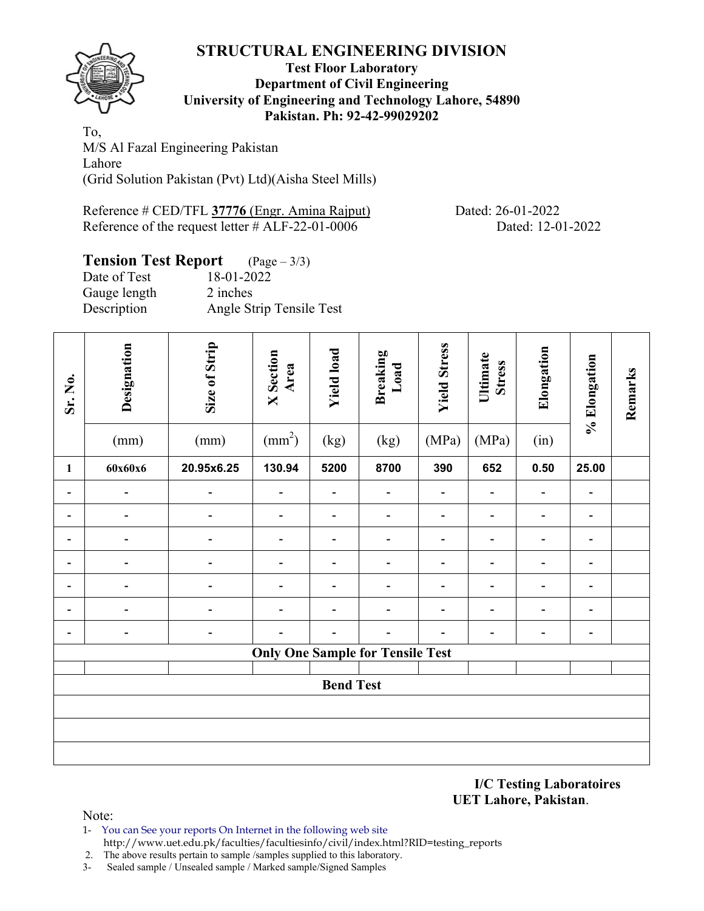

## **Test Floor Laboratory Department of Civil Engineering University of Engineering and Technology Lahore, 54890 Pakistan. Ph: 92-42-99029202**

To, M/S Al Fazal Engineering Pakistan Lahore (Grid Solution Pakistan (Pvt) Ltd)(Aisha Steel Mills)

Reference # CED/TFL **37776** (Engr. Amina Rajput) Dated: 26-01-2022 Reference of the request letter # ALF-22-01-0006 Dated: 12-01-2022

# **Tension Test Report** (Page – 3/3)

| Date of Test | 18-01-2022               |
|--------------|--------------------------|
| Gauge length | 2 inches                 |
| Description  | Angle Strip Tensile Test |
|              |                          |

| Sr. No. | Designation<br>(mm) | Size of Strip<br>(mm) | <b>X</b> Section<br>Area<br>$\text{(mm}^2)$ | <b>Yield load</b><br>(kg) | <b>Breaking</b><br>Load<br>(kg)         | <b>Yield Stress</b><br>(MPa) | Ultimate<br><b>Stress</b><br>(MPa) | Elongation<br>(in)           | % Elongation             | Remarks |
|---------|---------------------|-----------------------|---------------------------------------------|---------------------------|-----------------------------------------|------------------------------|------------------------------------|------------------------------|--------------------------|---------|
| 1       | 60x60x6             | 20.95x6.25            | 130.94                                      | 5200                      | 8700                                    | 390                          | 652                                | 0.50                         | 25.00                    |         |
|         |                     |                       |                                             |                           |                                         |                              |                                    | $\overline{\phantom{0}}$     |                          |         |
|         |                     |                       |                                             |                           |                                         |                              |                                    | $\blacksquare$               | $\overline{\phantom{0}}$ |         |
|         |                     |                       |                                             |                           |                                         |                              |                                    | $\overline{\phantom{0}}$     |                          |         |
|         |                     |                       |                                             |                           |                                         |                              |                                    | $\qquad \qquad \blacksquare$ | $\overline{\phantom{a}}$ |         |
|         |                     |                       |                                             |                           |                                         |                              |                                    | $\qquad \qquad \blacksquare$ | $\overline{\phantom{a}}$ |         |
|         |                     |                       |                                             |                           |                                         |                              |                                    |                              |                          |         |
|         |                     |                       |                                             |                           |                                         |                              |                                    |                              |                          |         |
|         |                     |                       |                                             |                           | <b>Only One Sample for Tensile Test</b> |                              |                                    |                              |                          |         |
|         |                     |                       |                                             | <b>Bend Test</b>          |                                         |                              |                                    |                              |                          |         |
|         |                     |                       |                                             |                           |                                         |                              |                                    |                              |                          |         |
|         |                     |                       |                                             |                           |                                         |                              |                                    |                              |                          |         |
|         |                     |                       |                                             |                           |                                         |                              |                                    |                              |                          |         |
|         |                     |                       |                                             |                           |                                         |                              |                                    |                              |                          |         |

### **I/C Testing Laboratoires UET Lahore, Pakistan**.

- 1- You can See your reports On Internet in the following web site http://www.uet.edu.pk/faculties/facultiesinfo/civil/index.html?RID=testing\_reports
- 2. The above results pertain to sample /samples supplied to this laboratory.
- 3- Sealed sample / Unsealed sample / Marked sample/Signed Samples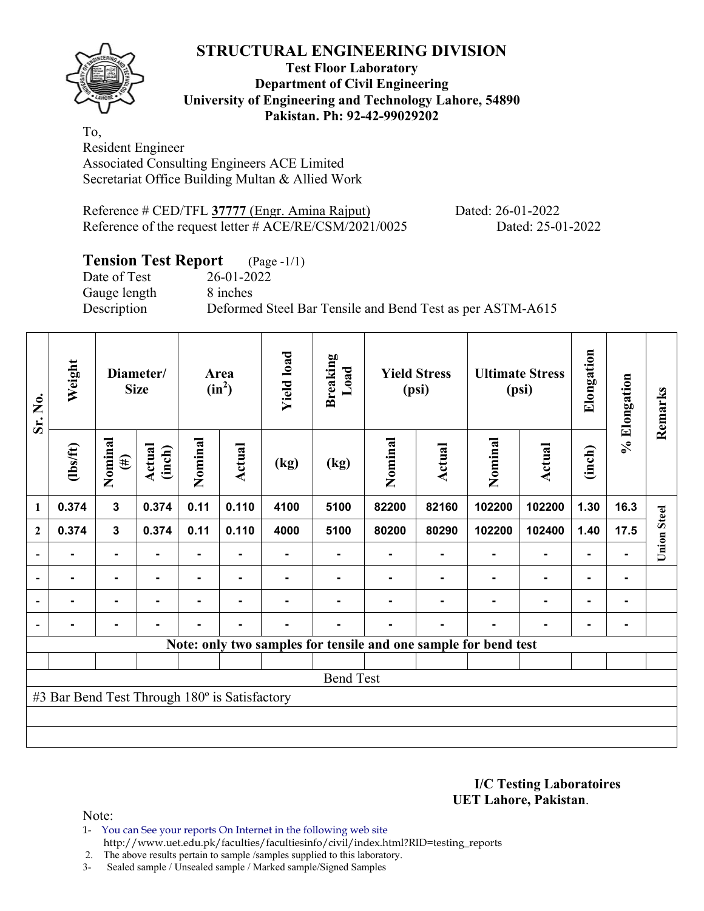**Test Floor Laboratory Department of Civil Engineering University of Engineering and Technology Lahore, 54890 Pakistan. Ph: 92-42-99029202** 

To, Resident Engineer Associated Consulting Engineers ACE Limited Secretariat Office Building Multan & Allied Work

Reference # CED/TFL **37777** (Engr. Amina Rajput) Dated: 26-01-2022 Reference of the request letter # ACE/RE/CSM/2021/0025 Dated: 25-01-2022

# **Tension Test Report** (Page -1/1)

Date of Test 26-01-2022 Gauge length 8 inches

Description Deformed Steel Bar Tensile and Bend Test as per ASTM-A615

| Sr. No.                                       | Weight                                                          | Diameter/<br><b>Size</b> |                  | Area<br>$(in^2)$ |               | <b>Yield load</b> | <b>Breaking</b><br>Load | <b>Yield Stress</b><br>(psi) |        | <b>Ultimate Stress</b><br>(psi) |                | Elongation     | % Elongation | Remarks            |
|-----------------------------------------------|-----------------------------------------------------------------|--------------------------|------------------|------------------|---------------|-------------------|-------------------------|------------------------------|--------|---------------------------------|----------------|----------------|--------------|--------------------|
|                                               | $\frac{2}{10}$                                                  | Nominal<br>$(\#)$        | Actual<br>(inch) | Nominal          | <b>Actual</b> | (kg)              | (kg)                    | Nominal                      | Actual | Nominal                         | Actual         | (inch)         |              |                    |
| 1                                             | 0.374                                                           | 3                        | 0.374            | 0.11             | 0.110         | 4100              | 5100                    | 82200                        | 82160  | 102200                          | 102200         | 1.30           | 16.3         |                    |
| $\boldsymbol{2}$                              | 0.374                                                           | 3                        | 0.374            | 0.11             | 0.110         | 4000              | 5100                    | 80200                        | 80290  | 102200                          | 102400         | 1.40           | 17.5         | <b>Union Steel</b> |
| $\overline{\phantom{a}}$                      |                                                                 | $\blacksquare$           |                  |                  |               |                   |                         |                              |        |                                 |                |                |              |                    |
| $\overline{\phantom{a}}$                      | ۰                                                               | $\blacksquare$           | ۰                | ۰                |               |                   |                         |                              |        |                                 | ۰              | $\blacksquare$ |              |                    |
| $\blacksquare$                                |                                                                 | ٠                        |                  |                  |               |                   |                         |                              |        |                                 | $\blacksquare$ | $\blacksquare$ |              |                    |
| $\overline{\phantom{a}}$                      | -                                                               | $\blacksquare$           | $\blacksquare$   | ٠                | ٠             | $\blacksquare$    |                         |                              | ۰      |                                 | ۰              | $\blacksquare$ |              |                    |
|                                               | Note: only two samples for tensile and one sample for bend test |                          |                  |                  |               |                   |                         |                              |        |                                 |                |                |              |                    |
|                                               |                                                                 |                          |                  |                  |               |                   |                         |                              |        |                                 |                |                |              |                    |
| <b>Bend Test</b>                              |                                                                 |                          |                  |                  |               |                   |                         |                              |        |                                 |                |                |              |                    |
| #3 Bar Bend Test Through 180° is Satisfactory |                                                                 |                          |                  |                  |               |                   |                         |                              |        |                                 |                |                |              |                    |
|                                               |                                                                 |                          |                  |                  |               |                   |                         |                              |        |                                 |                |                |              |                    |
|                                               |                                                                 |                          |                  |                  |               |                   |                         |                              |        |                                 |                |                |              |                    |

**I/C Testing Laboratoires UET Lahore, Pakistan**.

Note:

1- You can See your reports On Internet in the following web site http://www.uet.edu.pk/faculties/facultiesinfo/civil/index.html?RID=testing\_reports

2. The above results pertain to sample /samples supplied to this laboratory.